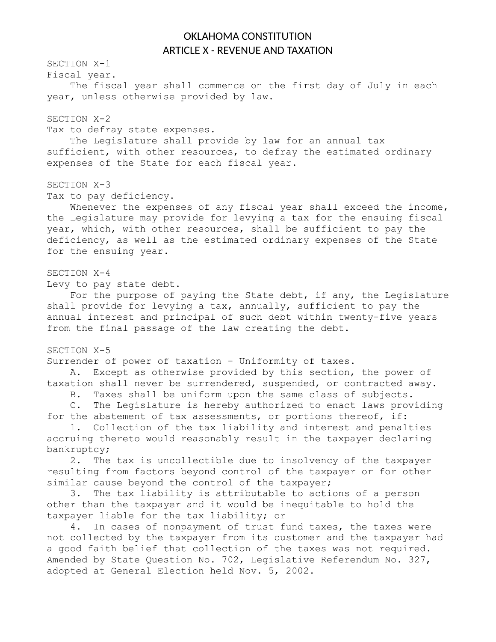# OKLAHOMA CONSTITUTION ARTICLE X - REVENUE AND TAXATION

SECTION X-1

# Fiscal year.

The fiscal year shall commence on the first day of July in each year, unless otherwise provided by law.

## SECTION X-2

Tax to defray state expenses.

The Legislature shall provide by law for an annual tax sufficient, with other resources, to defray the estimated ordinary expenses of the State for each fiscal year.

## SECTION X-3

Tax to pay deficiency.

Whenever the expenses of any fiscal year shall exceed the income, the Legislature may provide for levying a tax for the ensuing fiscal year, which, with other resources, shall be sufficient to pay the deficiency, as well as the estimated ordinary expenses of the State for the ensuing year.

# SECTION X-4

Levy to pay state debt.

For the purpose of paying the State debt, if any, the Legislature shall provide for levying a tax, annually, sufficient to pay the annual interest and principal of such debt within twenty-five years from the final passage of the law creating the debt.

SECTION X-5

Surrender of power of taxation - Uniformity of taxes.

A. Except as otherwise provided by this section, the power of taxation shall never be surrendered, suspended, or contracted away.

B. Taxes shall be uniform upon the same class of subjects.

C. The Legislature is hereby authorized to enact laws providing for the abatement of tax assessments, or portions thereof, if:

1. Collection of the tax liability and interest and penalties accruing thereto would reasonably result in the taxpayer declaring bankruptcy;

2. The tax is uncollectible due to insolvency of the taxpayer resulting from factors beyond control of the taxpayer or for other similar cause beyond the control of the taxpayer;

3. The tax liability is attributable to actions of a person other than the taxpayer and it would be inequitable to hold the taxpayer liable for the tax liability; or

4. In cases of nonpayment of trust fund taxes, the taxes were not collected by the taxpayer from its customer and the taxpayer had a good faith belief that collection of the taxes was not required. Amended by State Question No. 702, Legislative Referendum No. 327, adopted at General Election held Nov. 5, 2002.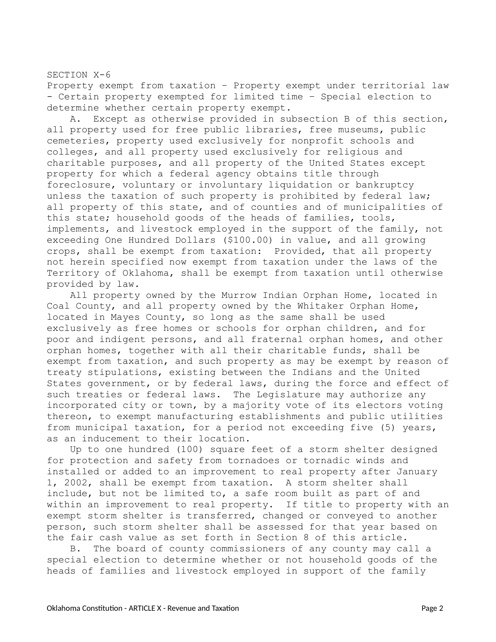SECTION X-6

Property exempt from taxation – Property exempt under territorial law - Certain property exempted for limited time – Special election to determine whether certain property exempt.

A. Except as otherwise provided in subsection B of this section, all property used for free public libraries, free museums, public cemeteries, property used exclusively for nonprofit schools and colleges, and all property used exclusively for religious and charitable purposes, and all property of the United States except property for which a federal agency obtains title through foreclosure, voluntary or involuntary liquidation or bankruptcy unless the taxation of such property is prohibited by federal law; all property of this state, and of counties and of municipalities of this state; household goods of the heads of families, tools, implements, and livestock employed in the support of the family, not exceeding One Hundred Dollars (\$100.00) in value, and all growing crops, shall be exempt from taxation: Provided, that all property not herein specified now exempt from taxation under the laws of the Territory of Oklahoma, shall be exempt from taxation until otherwise provided by law.

All property owned by the Murrow Indian Orphan Home, located in Coal County, and all property owned by the Whitaker Orphan Home, located in Mayes County, so long as the same shall be used exclusively as free homes or schools for orphan children, and for poor and indigent persons, and all fraternal orphan homes, and other orphan homes, together with all their charitable funds, shall be exempt from taxation, and such property as may be exempt by reason of treaty stipulations, existing between the Indians and the United States government, or by federal laws, during the force and effect of such treaties or federal laws. The Legislature may authorize any incorporated city or town, by a majority vote of its electors voting thereon, to exempt manufacturing establishments and public utilities from municipal taxation, for a period not exceeding five (5) years, as an inducement to their location.

Up to one hundred (100) square feet of a storm shelter designed for protection and safety from tornadoes or tornadic winds and installed or added to an improvement to real property after January 1, 2002, shall be exempt from taxation. A storm shelter shall include, but not be limited to, a safe room built as part of and within an improvement to real property. If title to property with an exempt storm shelter is transferred, changed or conveyed to another person, such storm shelter shall be assessed for that year based on the fair cash value as set forth in Section 8 of this article.

B. The board of county commissioners of any county may call a special election to determine whether or not household goods of the heads of families and livestock employed in support of the family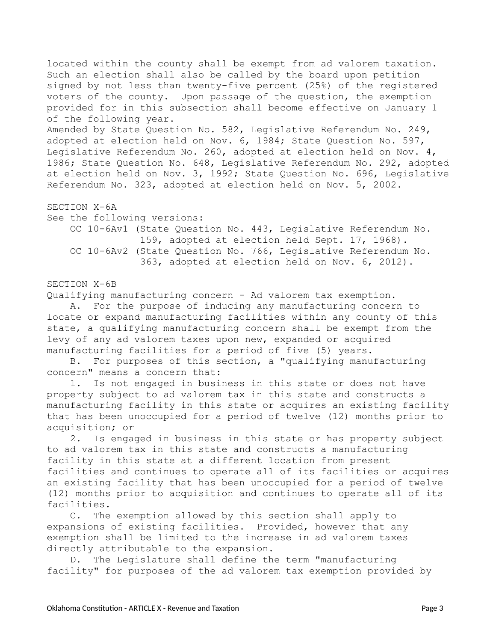located within the county shall be exempt from ad valorem taxation. Such an election shall also be called by the board upon petition signed by not less than twenty-five percent (25%) of the registered voters of the county. Upon passage of the question, the exemption provided for in this subsection shall become effective on January 1 of the following year. Amended by State Question No. 582, Legislative Referendum No. 249, adopted at election held on Nov. 6, 1984; State Question No. 597, Legislative Referendum No. 260, adopted at election held on Nov. 4, 1986; State Question No. 648, Legislative Referendum No. 292, adopted at election held on Nov. 3, 1992; State Question No. 696, Legislative Referendum No. 323, adopted at election held on Nov. 5, 2002.

#### SECTION X-6A

See the following versions:

OC 10-6Av1 (State Question No. 443, Legislative Referendum No. 159, adopted at election held Sept. 17, 1968). OC 10-6Av2 (State Question No. 766, Legislative Referendum No. 363, adopted at election held on Nov. 6, 2012).

# SECTION X-6B

Qualifying manufacturing concern - Ad valorem tax exemption.

A. For the purpose of inducing any manufacturing concern to locate or expand manufacturing facilities within any county of this state, a qualifying manufacturing concern shall be exempt from the levy of any ad valorem taxes upon new, expanded or acquired manufacturing facilities for a period of five (5) years.

B. For purposes of this section, a "qualifying manufacturing concern" means a concern that:

1. Is not engaged in business in this state or does not have property subject to ad valorem tax in this state and constructs a manufacturing facility in this state or acquires an existing facility that has been unoccupied for a period of twelve (12) months prior to acquisition; or

2. Is engaged in business in this state or has property subject to ad valorem tax in this state and constructs a manufacturing facility in this state at a different location from present facilities and continues to operate all of its facilities or acquires an existing facility that has been unoccupied for a period of twelve (12) months prior to acquisition and continues to operate all of its facilities.

C. The exemption allowed by this section shall apply to expansions of existing facilities. Provided, however that any exemption shall be limited to the increase in ad valorem taxes directly attributable to the expansion.

D. The Legislature shall define the term "manufacturing facility" for purposes of the ad valorem tax exemption provided by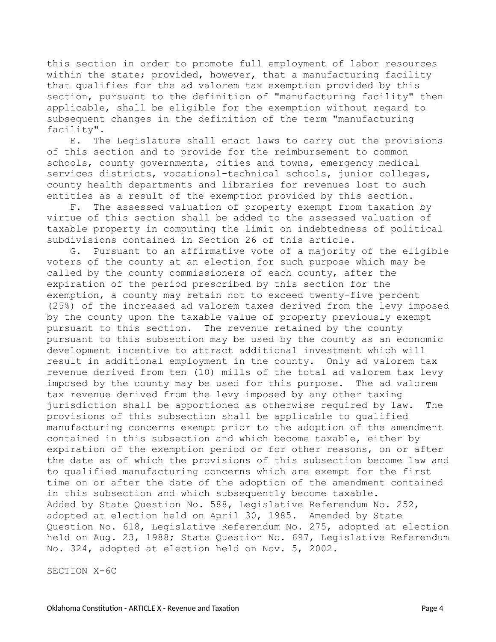this section in order to promote full employment of labor resources within the state; provided, however, that a manufacturing facility that qualifies for the ad valorem tax exemption provided by this section, pursuant to the definition of "manufacturing facility" then applicable, shall be eligible for the exemption without regard to subsequent changes in the definition of the term "manufacturing facility".

E. The Legislature shall enact laws to carry out the provisions of this section and to provide for the reimbursement to common schools, county governments, cities and towns, emergency medical services districts, vocational-technical schools, junior colleges, county health departments and libraries for revenues lost to such entities as a result of the exemption provided by this section.

F. The assessed valuation of property exempt from taxation by virtue of this section shall be added to the assessed valuation of taxable property in computing the limit on indebtedness of political subdivisions contained in Section 26 of this article.

G. Pursuant to an affirmative vote of a majority of the eligible voters of the county at an election for such purpose which may be called by the county commissioners of each county, after the expiration of the period prescribed by this section for the exemption, a county may retain not to exceed twenty-five percent (25%) of the increased ad valorem taxes derived from the levy imposed by the county upon the taxable value of property previously exempt pursuant to this section. The revenue retained by the county pursuant to this subsection may be used by the county as an economic development incentive to attract additional investment which will result in additional employment in the county. Only ad valorem tax revenue derived from ten (10) mills of the total ad valorem tax levy imposed by the county may be used for this purpose. The ad valorem tax revenue derived from the levy imposed by any other taxing jurisdiction shall be apportioned as otherwise required by law. The provisions of this subsection shall be applicable to qualified manufacturing concerns exempt prior to the adoption of the amendment contained in this subsection and which become taxable, either by expiration of the exemption period or for other reasons, on or after the date as of which the provisions of this subsection become law and to qualified manufacturing concerns which are exempt for the first time on or after the date of the adoption of the amendment contained in this subsection and which subsequently become taxable. Added by State Question No. 588, Legislative Referendum No. 252, adopted at election held on April 30, 1985. Amended by State Question No. 618, Legislative Referendum No. 275, adopted at election held on Aug. 23, 1988; State Question No. 697, Legislative Referendum No. 324, adopted at election held on Nov. 5, 2002.

SECTION X-6C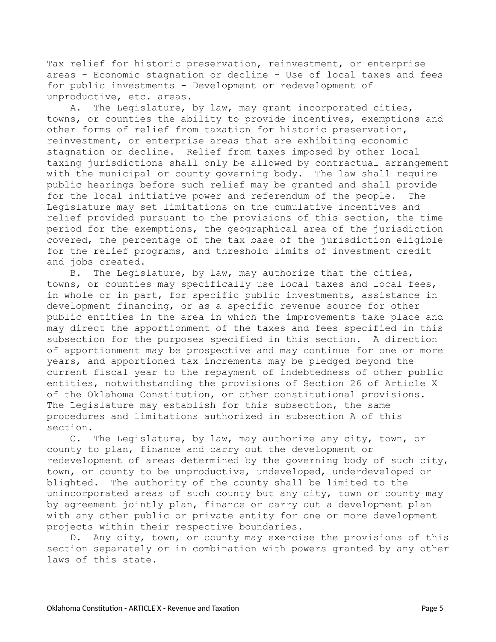Tax relief for historic preservation, reinvestment, or enterprise areas - Economic stagnation or decline - Use of local taxes and fees for public investments - Development or redevelopment of unproductive, etc. areas.

A. The Legislature, by law, may grant incorporated cities, towns, or counties the ability to provide incentives, exemptions and other forms of relief from taxation for historic preservation, reinvestment, or enterprise areas that are exhibiting economic stagnation or decline. Relief from taxes imposed by other local taxing jurisdictions shall only be allowed by contractual arrangement with the municipal or county governing body. The law shall require public hearings before such relief may be granted and shall provide for the local initiative power and referendum of the people. The Legislature may set limitations on the cumulative incentives and relief provided pursuant to the provisions of this section, the time period for the exemptions, the geographical area of the jurisdiction covered, the percentage of the tax base of the jurisdiction eligible for the relief programs, and threshold limits of investment credit and jobs created.

B. The Legislature, by law, may authorize that the cities, towns, or counties may specifically use local taxes and local fees, in whole or in part, for specific public investments, assistance in development financing, or as a specific revenue source for other public entities in the area in which the improvements take place and may direct the apportionment of the taxes and fees specified in this subsection for the purposes specified in this section. A direction of apportionment may be prospective and may continue for one or more years, and apportioned tax increments may be pledged beyond the current fiscal year to the repayment of indebtedness of other public entities, notwithstanding the provisions of Section 26 of Article X of the Oklahoma Constitution, or other constitutional provisions. The Legislature may establish for this subsection, the same procedures and limitations authorized in subsection A of this section.

C. The Legislature, by law, may authorize any city, town, or county to plan, finance and carry out the development or redevelopment of areas determined by the governing body of such city, town, or county to be unproductive, undeveloped, underdeveloped or blighted. The authority of the county shall be limited to the unincorporated areas of such county but any city, town or county may by agreement jointly plan, finance or carry out a development plan with any other public or private entity for one or more development projects within their respective boundaries.

D. Any city, town, or county may exercise the provisions of this section separately or in combination with powers granted by any other laws of this state.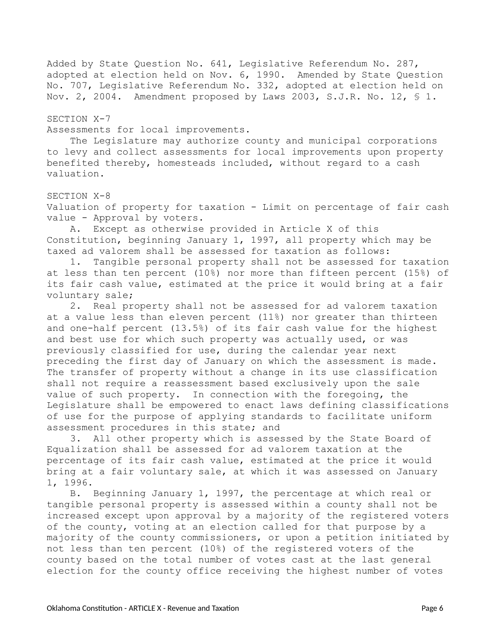Added by State Question No. 641, Legislative Referendum No. 287, adopted at election held on Nov. 6, 1990. Amended by State Question No. 707, Legislative Referendum No. 332, adopted at election held on Nov. 2, 2004. Amendment proposed by Laws 2003, S.J.R. No. 12, § 1.

## SECTION X-7

Assessments for local improvements.

The Legislature may authorize county and municipal corporations to levy and collect assessments for local improvements upon property benefited thereby, homesteads included, without regard to a cash valuation.

### SECTION X-8

Valuation of property for taxation - Limit on percentage of fair cash value - Approval by voters.

A. Except as otherwise provided in Article X of this Constitution, beginning January 1, 1997, all property which may be taxed ad valorem shall be assessed for taxation as follows:

1. Tangible personal property shall not be assessed for taxation at less than ten percent (10%) nor more than fifteen percent (15%) of its fair cash value, estimated at the price it would bring at a fair voluntary sale;

2. Real property shall not be assessed for ad valorem taxation at a value less than eleven percent (11%) nor greater than thirteen and one-half percent (13.5%) of its fair cash value for the highest and best use for which such property was actually used, or was previously classified for use, during the calendar year next preceding the first day of January on which the assessment is made. The transfer of property without a change in its use classification shall not require a reassessment based exclusively upon the sale value of such property. In connection with the foregoing, the Legislature shall be empowered to enact laws defining classifications of use for the purpose of applying standards to facilitate uniform assessment procedures in this state; and

3. All other property which is assessed by the State Board of Equalization shall be assessed for ad valorem taxation at the percentage of its fair cash value, estimated at the price it would bring at a fair voluntary sale, at which it was assessed on January 1, 1996.

B. Beginning January 1, 1997, the percentage at which real or tangible personal property is assessed within a county shall not be increased except upon approval by a majority of the registered voters of the county, voting at an election called for that purpose by a majority of the county commissioners, or upon a petition initiated by not less than ten percent (10%) of the registered voters of the county based on the total number of votes cast at the last general election for the county office receiving the highest number of votes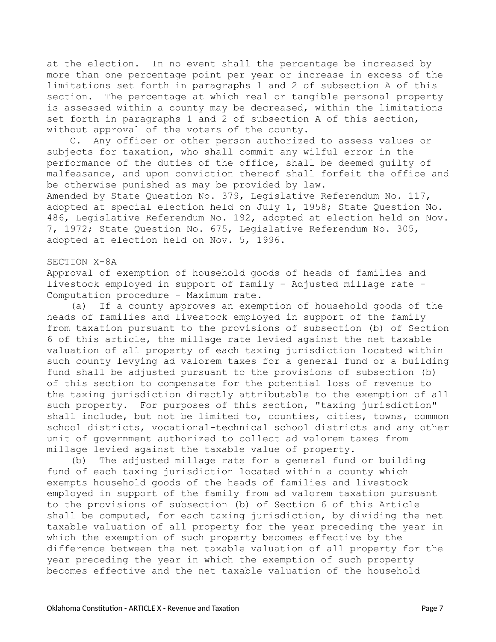at the election. In no event shall the percentage be increased by more than one percentage point per year or increase in excess of the limitations set forth in paragraphs 1 and 2 of subsection A of this section. The percentage at which real or tangible personal property is assessed within a county may be decreased, within the limitations set forth in paragraphs 1 and 2 of subsection A of this section, without approval of the voters of the county.

C. Any officer or other person authorized to assess values or subjects for taxation, who shall commit any wilful error in the performance of the duties of the office, shall be deemed guilty of malfeasance, and upon conviction thereof shall forfeit the office and be otherwise punished as may be provided by law. Amended by State Question No. 379, Legislative Referendum No. 117, adopted at special election held on July 1, 1958; State Question No. 486, Legislative Referendum No. 192, adopted at election held on Nov. 7, 1972; State Question No. 675, Legislative Referendum No. 305, adopted at election held on Nov. 5, 1996.

#### SECTION X-8A

Approval of exemption of household goods of heads of families and livestock employed in support of family - Adjusted millage rate - Computation procedure - Maximum rate.

(a) If a county approves an exemption of household goods of the heads of families and livestock employed in support of the family from taxation pursuant to the provisions of subsection (b) of Section 6 of this article, the millage rate levied against the net taxable valuation of all property of each taxing jurisdiction located within such county levying ad valorem taxes for a general fund or a building fund shall be adjusted pursuant to the provisions of subsection (b) of this section to compensate for the potential loss of revenue to the taxing jurisdiction directly attributable to the exemption of all such property. For purposes of this section, "taxing jurisdiction" shall include, but not be limited to, counties, cities, towns, common school districts, vocational-technical school districts and any other unit of government authorized to collect ad valorem taxes from millage levied against the taxable value of property.

(b) The adjusted millage rate for a general fund or building fund of each taxing jurisdiction located within a county which exempts household goods of the heads of families and livestock employed in support of the family from ad valorem taxation pursuant to the provisions of subsection (b) of Section 6 of this Article shall be computed, for each taxing jurisdiction, by dividing the net taxable valuation of all property for the year preceding the year in which the exemption of such property becomes effective by the difference between the net taxable valuation of all property for the year preceding the year in which the exemption of such property becomes effective and the net taxable valuation of the household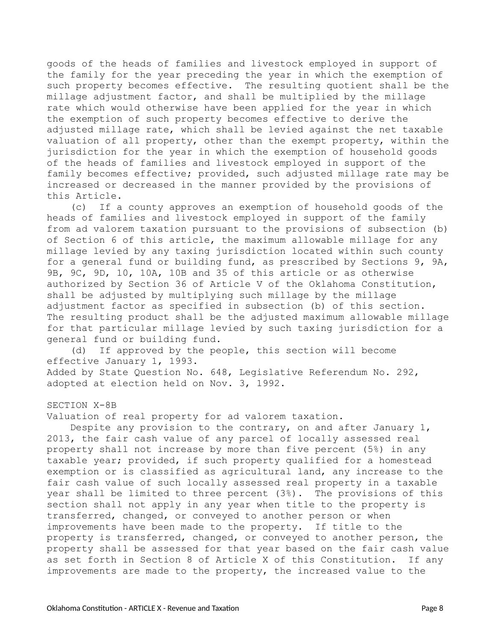goods of the heads of families and livestock employed in support of the family for the year preceding the year in which the exemption of such property becomes effective. The resulting quotient shall be the millage adjustment factor, and shall be multiplied by the millage rate which would otherwise have been applied for the year in which the exemption of such property becomes effective to derive the adjusted millage rate, which shall be levied against the net taxable valuation of all property, other than the exempt property, within the jurisdiction for the year in which the exemption of household goods of the heads of families and livestock employed in support of the family becomes effective; provided, such adjusted millage rate may be increased or decreased in the manner provided by the provisions of this Article.

(c) If a county approves an exemption of household goods of the heads of families and livestock employed in support of the family from ad valorem taxation pursuant to the provisions of subsection (b) of Section 6 of this article, the maximum allowable millage for any millage levied by any taxing jurisdiction located within such county for a general fund or building fund, as prescribed by Sections 9, 9A, 9B, 9C, 9D, 10, 10A, 10B and 35 of this article or as otherwise authorized by Section 36 of Article V of the Oklahoma Constitution, shall be adjusted by multiplying such millage by the millage adjustment factor as specified in subsection (b) of this section. The resulting product shall be the adjusted maximum allowable millage for that particular millage levied by such taxing jurisdiction for a general fund or building fund.

(d) If approved by the people, this section will become effective January 1, 1993.

Added by State Question No. 648, Legislative Referendum No. 292, adopted at election held on Nov. 3, 1992.

### SECTION X-8B

Valuation of real property for ad valorem taxation.

Despite any provision to the contrary, on and after January 1, 2013, the fair cash value of any parcel of locally assessed real property shall not increase by more than five percent (5%) in any taxable year; provided, if such property qualified for a homestead exemption or is classified as agricultural land, any increase to the fair cash value of such locally assessed real property in a taxable year shall be limited to three percent (3%). The provisions of this section shall not apply in any year when title to the property is transferred, changed, or conveyed to another person or when improvements have been made to the property. If title to the property is transferred, changed, or conveyed to another person, the property shall be assessed for that year based on the fair cash value as set forth in Section 8 of Article X of this Constitution. If any improvements are made to the property, the increased value to the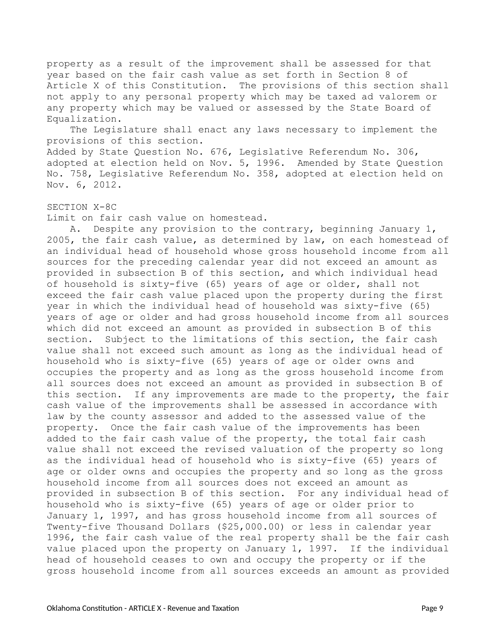property as a result of the improvement shall be assessed for that year based on the fair cash value as set forth in Section 8 of Article X of this Constitution. The provisions of this section shall not apply to any personal property which may be taxed ad valorem or any property which may be valued or assessed by the State Board of Equalization.

The Legislature shall enact any laws necessary to implement the provisions of this section.

Added by State Question No. 676, Legislative Referendum No. 306, adopted at election held on Nov. 5, 1996. Amended by State Question No. 758, Legislative Referendum No. 358, adopted at election held on Nov. 6, 2012.

#### SECTION X-8C

Limit on fair cash value on homestead.

A. Despite any provision to the contrary, beginning January 1, 2005, the fair cash value, as determined by law, on each homestead of an individual head of household whose gross household income from all sources for the preceding calendar year did not exceed an amount as provided in subsection B of this section, and which individual head of household is sixty-five (65) years of age or older, shall not exceed the fair cash value placed upon the property during the first year in which the individual head of household was sixty-five (65) years of age or older and had gross household income from all sources which did not exceed an amount as provided in subsection B of this section. Subject to the limitations of this section, the fair cash value shall not exceed such amount as long as the individual head of household who is sixty-five (65) years of age or older owns and occupies the property and as long as the gross household income from all sources does not exceed an amount as provided in subsection B of this section. If any improvements are made to the property, the fair cash value of the improvements shall be assessed in accordance with law by the county assessor and added to the assessed value of the property. Once the fair cash value of the improvements has been added to the fair cash value of the property, the total fair cash value shall not exceed the revised valuation of the property so long as the individual head of household who is sixty-five (65) years of age or older owns and occupies the property and so long as the gross household income from all sources does not exceed an amount as provided in subsection B of this section. For any individual head of household who is sixty-five (65) years of age or older prior to January 1, 1997, and has gross household income from all sources of Twenty-five Thousand Dollars (\$25,000.00) or less in calendar year 1996, the fair cash value of the real property shall be the fair cash value placed upon the property on January 1, 1997. If the individual head of household ceases to own and occupy the property or if the gross household income from all sources exceeds an amount as provided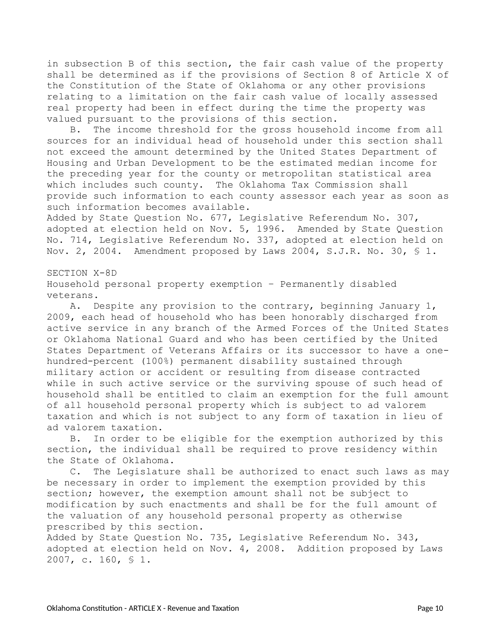in subsection B of this section, the fair cash value of the property shall be determined as if the provisions of Section 8 of Article X of the Constitution of the State of Oklahoma or any other provisions relating to a limitation on the fair cash value of locally assessed real property had been in effect during the time the property was valued pursuant to the provisions of this section.

B. The income threshold for the gross household income from all sources for an individual head of household under this section shall not exceed the amount determined by the United States Department of Housing and Urban Development to be the estimated median income for the preceding year for the county or metropolitan statistical area which includes such county. The Oklahoma Tax Commission shall provide such information to each county assessor each year as soon as such information becomes available.

Added by State Question No. 677, Legislative Referendum No. 307, adopted at election held on Nov. 5, 1996. Amended by State Question No. 714, Legislative Referendum No. 337, adopted at election held on Nov. 2, 2004. Amendment proposed by Laws 2004, S.J.R. No. 30, § 1.

SECTION X-8D

Household personal property exemption – Permanently disabled veterans.

A. Despite any provision to the contrary, beginning January 1, 2009, each head of household who has been honorably discharged from active service in any branch of the Armed Forces of the United States or Oklahoma National Guard and who has been certified by the United States Department of Veterans Affairs or its successor to have a onehundred-percent (100%) permanent disability sustained through military action or accident or resulting from disease contracted while in such active service or the surviving spouse of such head of household shall be entitled to claim an exemption for the full amount of all household personal property which is subject to ad valorem taxation and which is not subject to any form of taxation in lieu of ad valorem taxation.

B. In order to be eligible for the exemption authorized by this section, the individual shall be required to prove residency within the State of Oklahoma.

C. The Legislature shall be authorized to enact such laws as may be necessary in order to implement the exemption provided by this section; however, the exemption amount shall not be subject to modification by such enactments and shall be for the full amount of the valuation of any household personal property as otherwise prescribed by this section.

Added by State Question No. 735, Legislative Referendum No. 343, adopted at election held on Nov. 4, 2008. Addition proposed by Laws 2007, c. 160, § 1.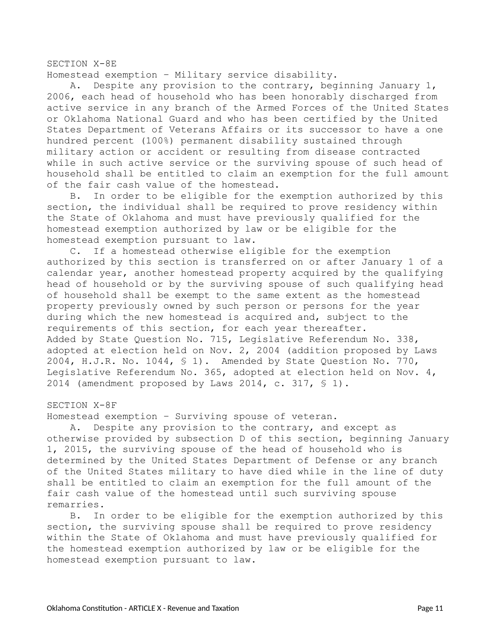SECTION X-8E Homestead exemption – Military service disability.

A. Despite any provision to the contrary, beginning January 1, 2006, each head of household who has been honorably discharged from active service in any branch of the Armed Forces of the United States or Oklahoma National Guard and who has been certified by the United States Department of Veterans Affairs or its successor to have a one hundred percent (100%) permanent disability sustained through military action or accident or resulting from disease contracted while in such active service or the surviving spouse of such head of household shall be entitled to claim an exemption for the full amount of the fair cash value of the homestead.

B. In order to be eligible for the exemption authorized by this section, the individual shall be required to prove residency within the State of Oklahoma and must have previously qualified for the homestead exemption authorized by law or be eligible for the homestead exemption pursuant to law.

C. If a homestead otherwise eligible for the exemption authorized by this section is transferred on or after January 1 of a calendar year, another homestead property acquired by the qualifying head of household or by the surviving spouse of such qualifying head of household shall be exempt to the same extent as the homestead property previously owned by such person or persons for the year during which the new homestead is acquired and, subject to the requirements of this section, for each year thereafter. Added by State Question No. 715, Legislative Referendum No. 338, adopted at election held on Nov. 2, 2004 (addition proposed by Laws 2004, H.J.R. No. 1044, § 1). Amended by State Question No. 770, Legislative Referendum No. 365, adopted at election held on Nov. 4, 2014 (amendment proposed by Laws 2014, c. 317, § 1).

SECTION X-8F

Homestead exemption – Surviving spouse of veteran.

A. Despite any provision to the contrary, and except as otherwise provided by subsection D of this section, beginning January 1, 2015, the surviving spouse of the head of household who is determined by the United States Department of Defense or any branch of the United States military to have died while in the line of duty shall be entitled to claim an exemption for the full amount of the fair cash value of the homestead until such surviving spouse remarries.

B. In order to be eligible for the exemption authorized by this section, the surviving spouse shall be required to prove residency within the State of Oklahoma and must have previously qualified for the homestead exemption authorized by law or be eligible for the homestead exemption pursuant to law.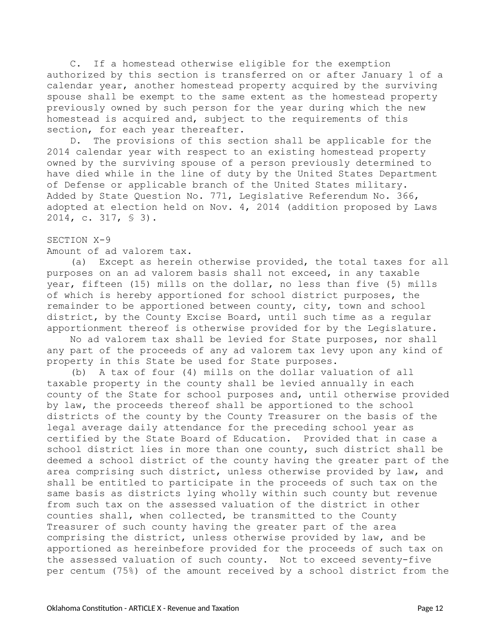C. If a homestead otherwise eligible for the exemption authorized by this section is transferred on or after January 1 of a calendar year, another homestead property acquired by the surviving spouse shall be exempt to the same extent as the homestead property previously owned by such person for the year during which the new homestead is acquired and, subject to the requirements of this section, for each year thereafter.

D. The provisions of this section shall be applicable for the 2014 calendar year with respect to an existing homestead property owned by the surviving spouse of a person previously determined to have died while in the line of duty by the United States Department of Defense or applicable branch of the United States military. Added by State Question No. 771, Legislative Referendum No. 366, adopted at election held on Nov. 4, 2014 (addition proposed by Laws 2014, c. 317, § 3).

## SECTION X-9

#### Amount of ad valorem tax.

(a) Except as herein otherwise provided, the total taxes for all purposes on an ad valorem basis shall not exceed, in any taxable year, fifteen (15) mills on the dollar, no less than five (5) mills of which is hereby apportioned for school district purposes, the remainder to be apportioned between county, city, town and school district, by the County Excise Board, until such time as a regular apportionment thereof is otherwise provided for by the Legislature.

No ad valorem tax shall be levied for State purposes, nor shall any part of the proceeds of any ad valorem tax levy upon any kind of property in this State be used for State purposes.

(b) A tax of four (4) mills on the dollar valuation of all taxable property in the county shall be levied annually in each county of the State for school purposes and, until otherwise provided by law, the proceeds thereof shall be apportioned to the school districts of the county by the County Treasurer on the basis of the legal average daily attendance for the preceding school year as certified by the State Board of Education. Provided that in case a school district lies in more than one county, such district shall be deemed a school district of the county having the greater part of the area comprising such district, unless otherwise provided by law, and shall be entitled to participate in the proceeds of such tax on the same basis as districts lying wholly within such county but revenue from such tax on the assessed valuation of the district in other counties shall, when collected, be transmitted to the County Treasurer of such county having the greater part of the area comprising the district, unless otherwise provided by law, and be apportioned as hereinbefore provided for the proceeds of such tax on the assessed valuation of such county. Not to exceed seventy-five per centum (75%) of the amount received by a school district from the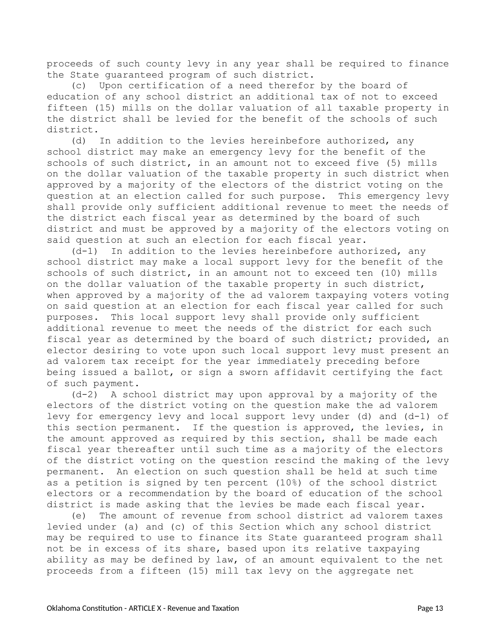proceeds of such county levy in any year shall be required to finance the State guaranteed program of such district.

(c) Upon certification of a need therefor by the board of education of any school district an additional tax of not to exceed fifteen (15) mills on the dollar valuation of all taxable property in the district shall be levied for the benefit of the schools of such district.

(d) In addition to the levies hereinbefore authorized, any school district may make an emergency levy for the benefit of the schools of such district, in an amount not to exceed five (5) mills on the dollar valuation of the taxable property in such district when approved by a majority of the electors of the district voting on the question at an election called for such purpose. This emergency levy shall provide only sufficient additional revenue to meet the needs of the district each fiscal year as determined by the board of such district and must be approved by a majority of the electors voting on said question at such an election for each fiscal year.

(d-1) In addition to the levies hereinbefore authorized, any school district may make a local support levy for the benefit of the schools of such district, in an amount not to exceed ten (10) mills on the dollar valuation of the taxable property in such district, when approved by a majority of the ad valorem taxpaying voters voting on said question at an election for each fiscal year called for such purposes. This local support levy shall provide only sufficient additional revenue to meet the needs of the district for each such fiscal year as determined by the board of such district; provided, an elector desiring to vote upon such local support levy must present an ad valorem tax receipt for the year immediately preceding before being issued a ballot, or sign a sworn affidavit certifying the fact of such payment.

(d-2) A school district may upon approval by a majority of the electors of the district voting on the question make the ad valorem levy for emergency levy and local support levy under (d) and (d-1) of this section permanent. If the question is approved, the levies, in the amount approved as required by this section, shall be made each fiscal year thereafter until such time as a majority of the electors of the district voting on the question rescind the making of the levy permanent. An election on such question shall be held at such time as a petition is signed by ten percent (10%) of the school district electors or a recommendation by the board of education of the school district is made asking that the levies be made each fiscal year.

(e) The amount of revenue from school district ad valorem taxes levied under (a) and (c) of this Section which any school district may be required to use to finance its State guaranteed program shall not be in excess of its share, based upon its relative taxpaying ability as may be defined by law, of an amount equivalent to the net proceeds from a fifteen (15) mill tax levy on the aggregate net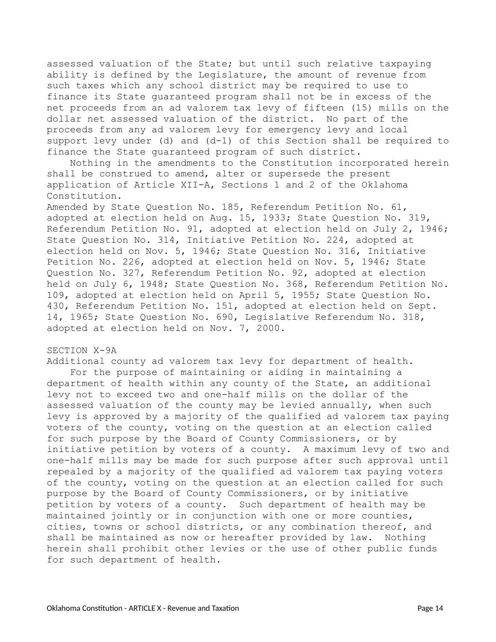assessed valuation of the State; but until such relative taxpaying ability is defined by the Legislature, the amount of revenue from such taxes which any school district may be required to use to finance its State guaranteed program shall not be in excess of the net proceeds from an ad valorem tax levy of fifteen (15) mills on the dollar net assessed valuation of the district. No part of the proceeds from any ad valorem levy for emergency levy and local support levy under (d) and (d-1) of this Section shall be required to finance the State guaranteed program of such district.

Nothing in the amendments to the Constitution incorporated herein shall be construed to amend, alter or supersede the present application of Article XII-A, Sections 1 and 2 of the Oklahoma Constitution.

Amended by State Question No. 185, Referendum Petition No. 61, adopted at election held on Aug. 15, 1933; State Question No. 319, Referendum Petition No. 91, adopted at election held on July 2, 1946; State Question No. 314, Initiative Petition No. 224, adopted at election held on Nov. 5, 1946; State Question No. 316, Initiative Petition No. 226, adopted at election held on Nov. 5, 1946; State Question No. 327, Referendum Petition No. 92, adopted at election held on July 6, 1948; State Question No. 368, Referendum Petition No. 109, adopted at election held on April 5, 1955; State Question No. 430, Referendum Petition No. 151, adopted at election held on Sept. 14, 1965; State Question No. 690, Legislative Referendum No. 318, adopted at election held on Nov. 7, 2000.

### SECTION X-9A

Additional county ad valorem tax levy for department of health. For the purpose of maintaining or aiding in maintaining a department of health within any county of the State, an additional levy not to exceed two and one-half mills on the dollar of the assessed valuation of the county may be levied annually, when such levy is approved by a majority of the qualified ad valorem tax paying voters of the county, voting on the question at an election called for such purpose by the Board of County Commissioners, or by initiative petition by voters of a county. A maximum levy of two and one-half mills may be made for such purpose after such approval until repealed by a majority of the qualified ad valorem tax paying voters of the county, voting on the question at an election called for such purpose by the Board of County Commissioners, or by initiative petition by voters of a county. Such department of health may be maintained jointly or in conjunction with one or more counties, cities, towns or school districts, or any combination thereof, and shall be maintained as now or hereafter provided by law. Nothing herein shall prohibit other levies or the use of other public funds for such department of health.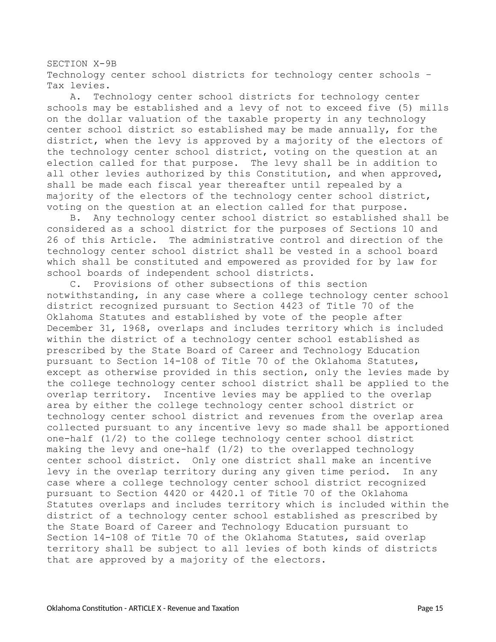### SECTION X-9B

Technology center school districts for technology center schools – Tax levies.

A. Technology center school districts for technology center schools may be established and a levy of not to exceed five (5) mills on the dollar valuation of the taxable property in any technology center school district so established may be made annually, for the district, when the levy is approved by a majority of the electors of the technology center school district, voting on the question at an election called for that purpose. The levy shall be in addition to all other levies authorized by this Constitution, and when approved, shall be made each fiscal year thereafter until repealed by a majority of the electors of the technology center school district, voting on the question at an election called for that purpose.

B. Any technology center school district so established shall be considered as a school district for the purposes of Sections 10 and 26 of this Article. The administrative control and direction of the technology center school district shall be vested in a school board which shall be constituted and empowered as provided for by law for school boards of independent school districts.

C. Provisions of other subsections of this section notwithstanding, in any case where a college technology center school district recognized pursuant to Section 4423 of Title 70 of the Oklahoma Statutes and established by vote of the people after December 31, 1968, overlaps and includes territory which is included within the district of a technology center school established as prescribed by the State Board of Career and Technology Education pursuant to Section 14-108 of Title 70 of the Oklahoma Statutes, except as otherwise provided in this section, only the levies made by the college technology center school district shall be applied to the overlap territory. Incentive levies may be applied to the overlap area by either the college technology center school district or technology center school district and revenues from the overlap area collected pursuant to any incentive levy so made shall be apportioned one-half (1/2) to the college technology center school district making the levy and one-half (1/2) to the overlapped technology center school district. Only one district shall make an incentive levy in the overlap territory during any given time period. In any case where a college technology center school district recognized pursuant to Section 4420 or 4420.1 of Title 70 of the Oklahoma Statutes overlaps and includes territory which is included within the district of a technology center school established as prescribed by the State Board of Career and Technology Education pursuant to Section 14-108 of Title 70 of the Oklahoma Statutes, said overlap territory shall be subject to all levies of both kinds of districts that are approved by a majority of the electors.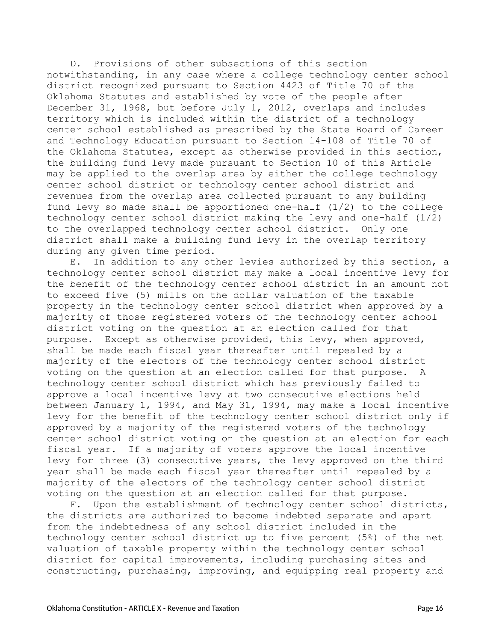D. Provisions of other subsections of this section notwithstanding, in any case where a college technology center school district recognized pursuant to Section 4423 of Title 70 of the Oklahoma Statutes and established by vote of the people after December 31, 1968, but before July 1, 2012, overlaps and includes territory which is included within the district of a technology center school established as prescribed by the State Board of Career and Technology Education pursuant to Section 14-108 of Title 70 of the Oklahoma Statutes, except as otherwise provided in this section, the building fund levy made pursuant to Section 10 of this Article may be applied to the overlap area by either the college technology center school district or technology center school district and revenues from the overlap area collected pursuant to any building fund levy so made shall be apportioned one-half  $(1/2)$  to the college technology center school district making the levy and one-half (1/2) to the overlapped technology center school district. Only one district shall make a building fund levy in the overlap territory during any given time period.

E. In addition to any other levies authorized by this section, a technology center school district may make a local incentive levy for the benefit of the technology center school district in an amount not to exceed five (5) mills on the dollar valuation of the taxable property in the technology center school district when approved by a majority of those registered voters of the technology center school district voting on the question at an election called for that purpose. Except as otherwise provided, this levy, when approved, shall be made each fiscal year thereafter until repealed by a majority of the electors of the technology center school district voting on the question at an election called for that purpose. A technology center school district which has previously failed to approve a local incentive levy at two consecutive elections held between January 1, 1994, and May 31, 1994, may make a local incentive levy for the benefit of the technology center school district only if approved by a majority of the registered voters of the technology center school district voting on the question at an election for each fiscal year. If a majority of voters approve the local incentive levy for three (3) consecutive years, the levy approved on the third year shall be made each fiscal year thereafter until repealed by a majority of the electors of the technology center school district voting on the question at an election called for that purpose.

F. Upon the establishment of technology center school districts, the districts are authorized to become indebted separate and apart from the indebtedness of any school district included in the technology center school district up to five percent (5%) of the net valuation of taxable property within the technology center school district for capital improvements, including purchasing sites and constructing, purchasing, improving, and equipping real property and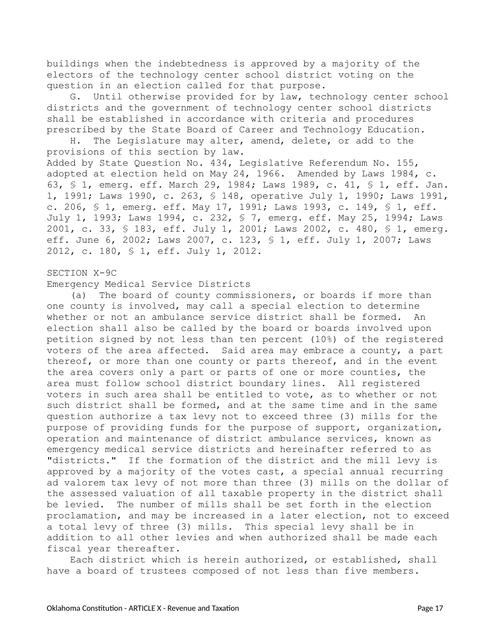buildings when the indebtedness is approved by a majority of the electors of the technology center school district voting on the question in an election called for that purpose.

G. Until otherwise provided for by law, technology center school districts and the government of technology center school districts shall be established in accordance with criteria and procedures prescribed by the State Board of Career and Technology Education.

H. The Legislature may alter, amend, delete, or add to the provisions of this section by law.

Added by State Question No. 434, Legislative Referendum No. 155, adopted at election held on May 24, 1966. Amended by Laws 1984, c. 63, § 1, emerg. eff. March 29, 1984; Laws 1989, c. 41, § 1, eff. Jan. 1, 1991; Laws 1990, c. 263, § 148, operative July 1, 1990; Laws 1991, c. 206, § 1, emerg. eff. May 17, 1991; Laws 1993, c. 149, § 1, eff. July 1, 1993; Laws 1994, c. 232, § 7, emerg. eff. May 25, 1994; Laws 2001, c. 33, § 183, eff. July 1, 2001; Laws 2002, c. 480, § 1, emerg. eff. June 6, 2002; Laws 2007, c. 123, § 1, eff. July 1, 2007; Laws 2012, c. 180, § 1, eff. July 1, 2012.

#### SECTION X-9C

Emergency Medical Service Districts

(a) The board of county commissioners, or boards if more than one county is involved, may call a special election to determine whether or not an ambulance service district shall be formed. An election shall also be called by the board or boards involved upon petition signed by not less than ten percent (10%) of the registered voters of the area affected. Said area may embrace a county, a part thereof, or more than one county or parts thereof, and in the event the area covers only a part or parts of one or more counties, the area must follow school district boundary lines. All registered voters in such area shall be entitled to vote, as to whether or not such district shall be formed, and at the same time and in the same question authorize a tax levy not to exceed three (3) mills for the purpose of providing funds for the purpose of support, organization, operation and maintenance of district ambulance services, known as emergency medical service districts and hereinafter referred to as "districts." If the formation of the district and the mill levy is approved by a majority of the votes cast, a special annual recurring ad valorem tax levy of not more than three (3) mills on the dollar of the assessed valuation of all taxable property in the district shall be levied. The number of mills shall be set forth in the election proclamation, and may be increased in a later election, not to exceed a total levy of three (3) mills. This special levy shall be in addition to all other levies and when authorized shall be made each fiscal year thereafter.

Each district which is herein authorized, or established, shall have a board of trustees composed of not less than five members.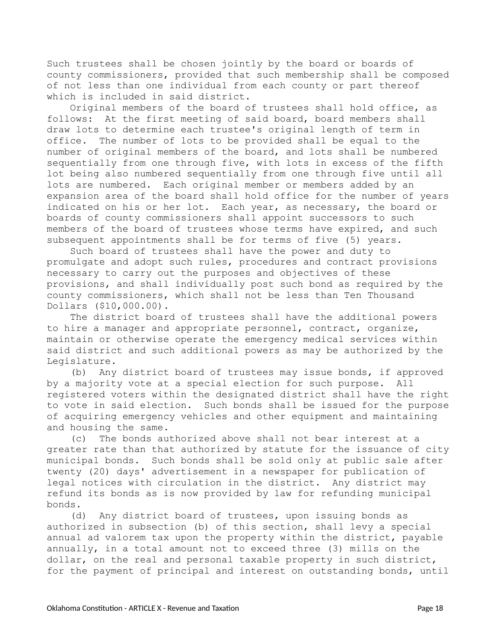Such trustees shall be chosen jointly by the board or boards of county commissioners, provided that such membership shall be composed of not less than one individual from each county or part thereof which is included in said district.

Original members of the board of trustees shall hold office, as follows: At the first meeting of said board, board members shall draw lots to determine each trustee's original length of term in office. The number of lots to be provided shall be equal to the number of original members of the board, and lots shall be numbered sequentially from one through five, with lots in excess of the fifth lot being also numbered sequentially from one through five until all lots are numbered. Each original member or members added by an expansion area of the board shall hold office for the number of years indicated on his or her lot. Each year, as necessary, the board or boards of county commissioners shall appoint successors to such members of the board of trustees whose terms have expired, and such subsequent appointments shall be for terms of five (5) years.

Such board of trustees shall have the power and duty to promulgate and adopt such rules, procedures and contract provisions necessary to carry out the purposes and objectives of these provisions, and shall individually post such bond as required by the county commissioners, which shall not be less than Ten Thousand Dollars (\$10,000.00).

The district board of trustees shall have the additional powers to hire a manager and appropriate personnel, contract, organize, maintain or otherwise operate the emergency medical services within said district and such additional powers as may be authorized by the Legislature.

(b) Any district board of trustees may issue bonds, if approved by a majority vote at a special election for such purpose. All registered voters within the designated district shall have the right to vote in said election. Such bonds shall be issued for the purpose of acquiring emergency vehicles and other equipment and maintaining and housing the same.

(c) The bonds authorized above shall not bear interest at a greater rate than that authorized by statute for the issuance of city municipal bonds. Such bonds shall be sold only at public sale after twenty (20) days' advertisement in a newspaper for publication of legal notices with circulation in the district. Any district may refund its bonds as is now provided by law for refunding municipal bonds.

(d) Any district board of trustees, upon issuing bonds as authorized in subsection (b) of this section, shall levy a special annual ad valorem tax upon the property within the district, payable annually, in a total amount not to exceed three (3) mills on the dollar, on the real and personal taxable property in such district, for the payment of principal and interest on outstanding bonds, until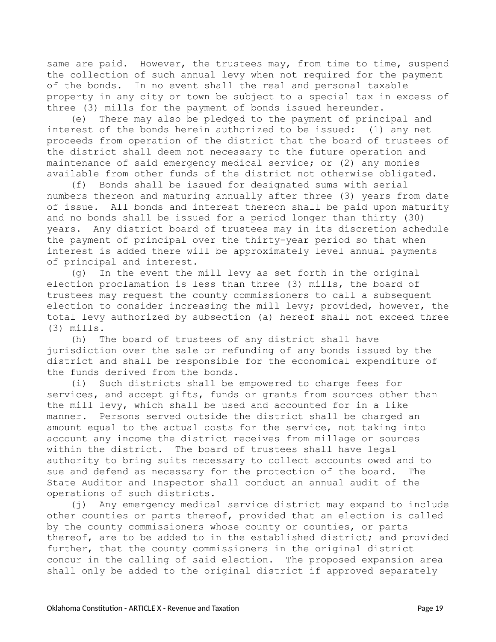same are paid. However, the trustees may, from time to time, suspend the collection of such annual levy when not required for the payment of the bonds. In no event shall the real and personal taxable property in any city or town be subject to a special tax in excess of three (3) mills for the payment of bonds issued hereunder.

(e) There may also be pledged to the payment of principal and interest of the bonds herein authorized to be issued: (1) any net proceeds from operation of the district that the board of trustees of the district shall deem not necessary to the future operation and maintenance of said emergency medical service; or (2) any monies available from other funds of the district not otherwise obligated.

(f) Bonds shall be issued for designated sums with serial numbers thereon and maturing annually after three (3) years from date of issue. All bonds and interest thereon shall be paid upon maturity and no bonds shall be issued for a period longer than thirty (30) years. Any district board of trustees may in its discretion schedule the payment of principal over the thirty-year period so that when interest is added there will be approximately level annual payments of principal and interest.

(g) In the event the mill levy as set forth in the original election proclamation is less than three (3) mills, the board of trustees may request the county commissioners to call a subsequent election to consider increasing the mill levy; provided, however, the total levy authorized by subsection (a) hereof shall not exceed three (3) mills.

(h) The board of trustees of any district shall have jurisdiction over the sale or refunding of any bonds issued by the district and shall be responsible for the economical expenditure of the funds derived from the bonds.

(i) Such districts shall be empowered to charge fees for services, and accept gifts, funds or grants from sources other than the mill levy, which shall be used and accounted for in a like manner. Persons served outside the district shall be charged an amount equal to the actual costs for the service, not taking into account any income the district receives from millage or sources within the district. The board of trustees shall have legal authority to bring suits necessary to collect accounts owed and to sue and defend as necessary for the protection of the board. The State Auditor and Inspector shall conduct an annual audit of the operations of such districts.

(j) Any emergency medical service district may expand to include other counties or parts thereof, provided that an election is called by the county commissioners whose county or counties, or parts thereof, are to be added to in the established district; and provided further, that the county commissioners in the original district concur in the calling of said election. The proposed expansion area shall only be added to the original district if approved separately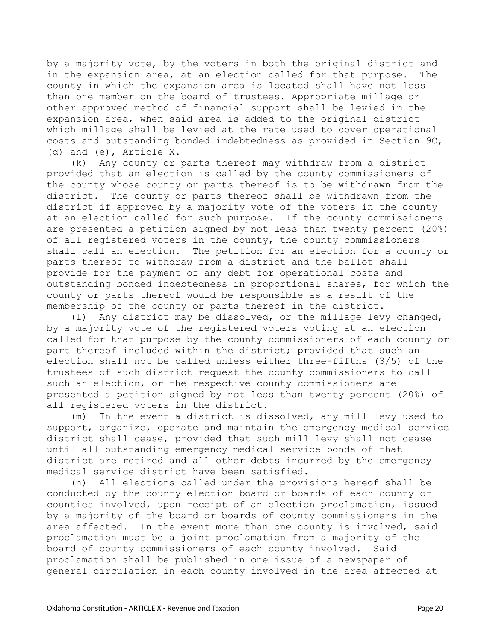by a majority vote, by the voters in both the original district and in the expansion area, at an election called for that purpose. The county in which the expansion area is located shall have not less than one member on the board of trustees. Appropriate millage or other approved method of financial support shall be levied in the expansion area, when said area is added to the original district which millage shall be levied at the rate used to cover operational costs and outstanding bonded indebtedness as provided in Section 9C, (d) and (e), Article X.

(k) Any county or parts thereof may withdraw from a district provided that an election is called by the county commissioners of the county whose county or parts thereof is to be withdrawn from the district. The county or parts thereof shall be withdrawn from the district if approved by a majority vote of the voters in the county at an election called for such purpose. If the county commissioners are presented a petition signed by not less than twenty percent (20%) of all registered voters in the county, the county commissioners shall call an election. The petition for an election for a county or parts thereof to withdraw from a district and the ballot shall provide for the payment of any debt for operational costs and outstanding bonded indebtedness in proportional shares, for which the county or parts thereof would be responsible as a result of the membership of the county or parts thereof in the district.

(l) Any district may be dissolved, or the millage levy changed, by a majority vote of the registered voters voting at an election called for that purpose by the county commissioners of each county or part thereof included within the district; provided that such an election shall not be called unless either three-fifths (3/5) of the trustees of such district request the county commissioners to call such an election, or the respective county commissioners are presented a petition signed by not less than twenty percent (20%) of all registered voters in the district.

(m) In the event a district is dissolved, any mill levy used to support, organize, operate and maintain the emergency medical service district shall cease, provided that such mill levy shall not cease until all outstanding emergency medical service bonds of that district are retired and all other debts incurred by the emergency medical service district have been satisfied.

(n) All elections called under the provisions hereof shall be conducted by the county election board or boards of each county or counties involved, upon receipt of an election proclamation, issued by a majority of the board or boards of county commissioners in the area affected. In the event more than one county is involved, said proclamation must be a joint proclamation from a majority of the board of county commissioners of each county involved. Said proclamation shall be published in one issue of a newspaper of general circulation in each county involved in the area affected at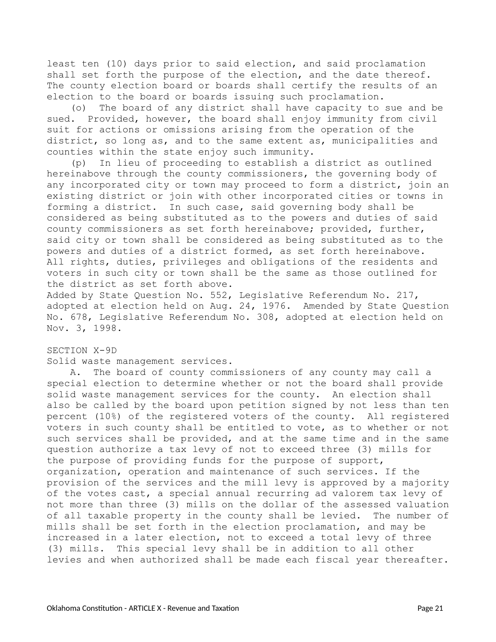least ten (10) days prior to said election, and said proclamation shall set forth the purpose of the election, and the date thereof. The county election board or boards shall certify the results of an election to the board or boards issuing such proclamation.

(o) The board of any district shall have capacity to sue and be sued. Provided, however, the board shall enjoy immunity from civil suit for actions or omissions arising from the operation of the district, so long as, and to the same extent as, municipalities and counties within the state enjoy such immunity.

(p) In lieu of proceeding to establish a district as outlined hereinabove through the county commissioners, the governing body of any incorporated city or town may proceed to form a district, join an existing district or join with other incorporated cities or towns in forming a district. In such case, said governing body shall be considered as being substituted as to the powers and duties of said county commissioners as set forth hereinabove; provided, further, said city or town shall be considered as being substituted as to the powers and duties of a district formed, as set forth hereinabove. All rights, duties, privileges and obligations of the residents and voters in such city or town shall be the same as those outlined for the district as set forth above.

Added by State Question No. 552, Legislative Referendum No. 217, adopted at election held on Aug. 24, 1976. Amended by State Question No. 678, Legislative Referendum No. 308, adopted at election held on Nov. 3, 1998.

SECTION X-9D

Solid waste management services.

A. The board of county commissioners of any county may call a special election to determine whether or not the board shall provide solid waste management services for the county. An election shall also be called by the board upon petition signed by not less than ten percent (10%) of the registered voters of the county. All registered voters in such county shall be entitled to vote, as to whether or not such services shall be provided, and at the same time and in the same question authorize a tax levy of not to exceed three (3) mills for the purpose of providing funds for the purpose of support, organization, operation and maintenance of such services. If the provision of the services and the mill levy is approved by a majority of the votes cast, a special annual recurring ad valorem tax levy of not more than three (3) mills on the dollar of the assessed valuation of all taxable property in the county shall be levied. The number of mills shall be set forth in the election proclamation, and may be increased in a later election, not to exceed a total levy of three (3) mills. This special levy shall be in addition to all other levies and when authorized shall be made each fiscal year thereafter.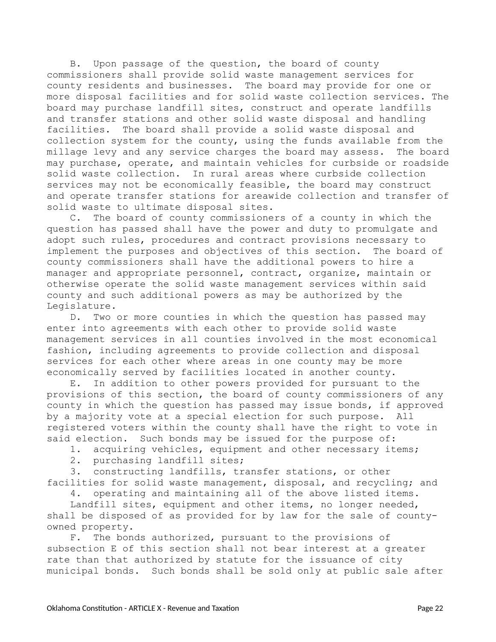B. Upon passage of the question, the board of county commissioners shall provide solid waste management services for county residents and businesses. The board may provide for one or more disposal facilities and for solid waste collection services. The board may purchase landfill sites, construct and operate landfills and transfer stations and other solid waste disposal and handling facilities. The board shall provide a solid waste disposal and collection system for the county, using the funds available from the millage levy and any service charges the board may assess. The board may purchase, operate, and maintain vehicles for curbside or roadside solid waste collection. In rural areas where curbside collection services may not be economically feasible, the board may construct and operate transfer stations for areawide collection and transfer of solid waste to ultimate disposal sites.

C. The board of county commissioners of a county in which the question has passed shall have the power and duty to promulgate and adopt such rules, procedures and contract provisions necessary to implement the purposes and objectives of this section. The board of county commissioners shall have the additional powers to hire a manager and appropriate personnel, contract, organize, maintain or otherwise operate the solid waste management services within said county and such additional powers as may be authorized by the Legislature.

D. Two or more counties in which the question has passed may enter into agreements with each other to provide solid waste management services in all counties involved in the most economical fashion, including agreements to provide collection and disposal services for each other where areas in one county may be more economically served by facilities located in another county.

E. In addition to other powers provided for pursuant to the provisions of this section, the board of county commissioners of any county in which the question has passed may issue bonds, if approved by a majority vote at a special election for such purpose. All registered voters within the county shall have the right to vote in said election. Such bonds may be issued for the purpose of:

1. acquiring vehicles, equipment and other necessary items;

2. purchasing landfill sites;

3. constructing landfills, transfer stations, or other facilities for solid waste management, disposal, and recycling; and

4. operating and maintaining all of the above listed items.

Landfill sites, equipment and other items, no longer needed, shall be disposed of as provided for by law for the sale of countyowned property.

F. The bonds authorized, pursuant to the provisions of subsection E of this section shall not bear interest at a greater rate than that authorized by statute for the issuance of city municipal bonds. Such bonds shall be sold only at public sale after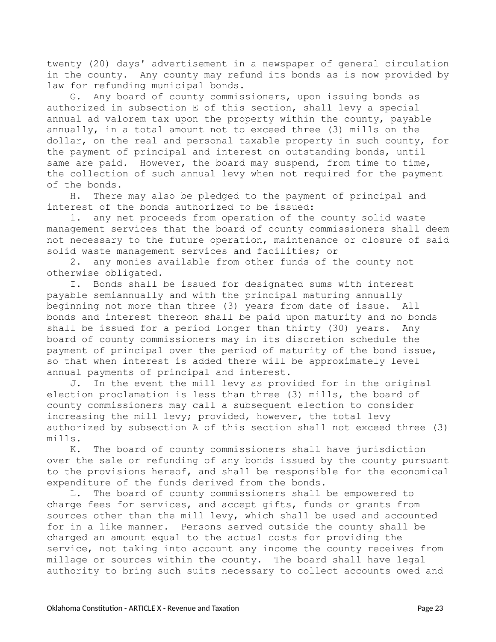twenty (20) days' advertisement in a newspaper of general circulation in the county. Any county may refund its bonds as is now provided by law for refunding municipal bonds.

G. Any board of county commissioners, upon issuing bonds as authorized in subsection E of this section, shall levy a special annual ad valorem tax upon the property within the county, payable annually, in a total amount not to exceed three (3) mills on the dollar, on the real and personal taxable property in such county, for the payment of principal and interest on outstanding bonds, until same are paid. However, the board may suspend, from time to time, the collection of such annual levy when not required for the payment of the bonds.

H. There may also be pledged to the payment of principal and interest of the bonds authorized to be issued:

1. any net proceeds from operation of the county solid waste management services that the board of county commissioners shall deem not necessary to the future operation, maintenance or closure of said solid waste management services and facilities; or

2. any monies available from other funds of the county not otherwise obligated.

I. Bonds shall be issued for designated sums with interest payable semiannually and with the principal maturing annually beginning not more than three (3) years from date of issue. All bonds and interest thereon shall be paid upon maturity and no bonds shall be issued for a period longer than thirty (30) years. Any board of county commissioners may in its discretion schedule the payment of principal over the period of maturity of the bond issue, so that when interest is added there will be approximately level annual payments of principal and interest.

J. In the event the mill levy as provided for in the original election proclamation is less than three (3) mills, the board of county commissioners may call a subsequent election to consider increasing the mill levy; provided, however, the total levy authorized by subsection A of this section shall not exceed three (3) mills.

K. The board of county commissioners shall have jurisdiction over the sale or refunding of any bonds issued by the county pursuant to the provisions hereof, and shall be responsible for the economical expenditure of the funds derived from the bonds.

L. The board of county commissioners shall be empowered to charge fees for services, and accept gifts, funds or grants from sources other than the mill levy, which shall be used and accounted for in a like manner. Persons served outside the county shall be charged an amount equal to the actual costs for providing the service, not taking into account any income the county receives from millage or sources within the county. The board shall have legal authority to bring such suits necessary to collect accounts owed and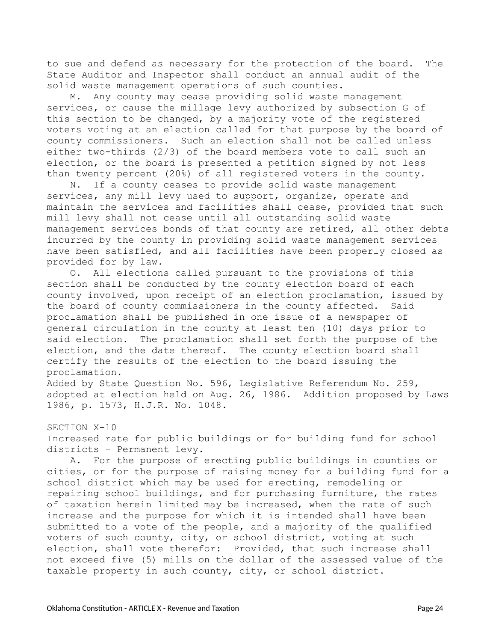to sue and defend as necessary for the protection of the board. The State Auditor and Inspector shall conduct an annual audit of the solid waste management operations of such counties.

M. Any county may cease providing solid waste management services, or cause the millage levy authorized by subsection G of this section to be changed, by a majority vote of the registered voters voting at an election called for that purpose by the board of county commissioners. Such an election shall not be called unless either two-thirds (2/3) of the board members vote to call such an election, or the board is presented a petition signed by not less than twenty percent (20%) of all registered voters in the county.

N. If a county ceases to provide solid waste management services, any mill levy used to support, organize, operate and maintain the services and facilities shall cease, provided that such mill levy shall not cease until all outstanding solid waste management services bonds of that county are retired, all other debts incurred by the county in providing solid waste management services have been satisfied, and all facilities have been properly closed as provided for by law.

O. All elections called pursuant to the provisions of this section shall be conducted by the county election board of each county involved, upon receipt of an election proclamation, issued by the board of county commissioners in the county affected. Said proclamation shall be published in one issue of a newspaper of general circulation in the county at least ten (10) days prior to said election. The proclamation shall set forth the purpose of the election, and the date thereof. The county election board shall certify the results of the election to the board issuing the proclamation.

Added by State Question No. 596, Legislative Referendum No. 259, adopted at election held on Aug. 26, 1986. Addition proposed by Laws 1986, p. 1573, H.J.R. No. 1048.

SECTION X-10

Increased rate for public buildings or for building fund for school districts – Permanent levy.

A. For the purpose of erecting public buildings in counties or cities, or for the purpose of raising money for a building fund for a school district which may be used for erecting, remodeling or repairing school buildings, and for purchasing furniture, the rates of taxation herein limited may be increased, when the rate of such increase and the purpose for which it is intended shall have been submitted to a vote of the people, and a majority of the qualified voters of such county, city, or school district, voting at such election, shall vote therefor: Provided, that such increase shall not exceed five (5) mills on the dollar of the assessed value of the taxable property in such county, city, or school district.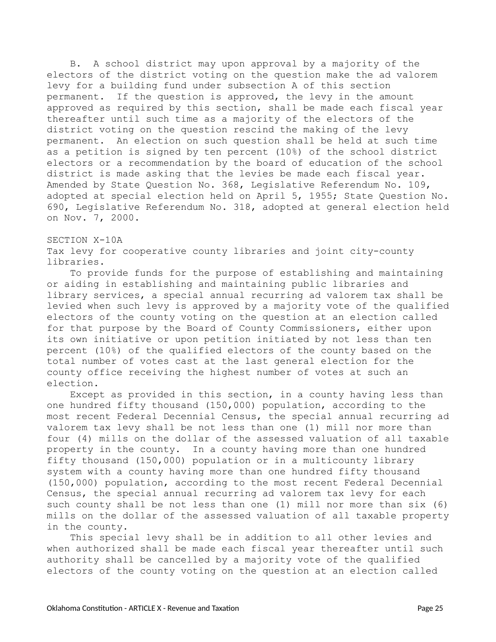B. A school district may upon approval by a majority of the electors of the district voting on the question make the ad valorem levy for a building fund under subsection A of this section permanent. If the question is approved, the levy in the amount approved as required by this section, shall be made each fiscal year thereafter until such time as a majority of the electors of the district voting on the question rescind the making of the levy permanent. An election on such question shall be held at such time as a petition is signed by ten percent (10%) of the school district electors or a recommendation by the board of education of the school district is made asking that the levies be made each fiscal year. Amended by State Question No. 368, Legislative Referendum No. 109, adopted at special election held on April 5, 1955; State Question No. 690, Legislative Referendum No. 318, adopted at general election held on Nov. 7, 2000.

### SECTION X-10A

Tax levy for cooperative county libraries and joint city-county libraries.

To provide funds for the purpose of establishing and maintaining or aiding in establishing and maintaining public libraries and library services, a special annual recurring ad valorem tax shall be levied when such levy is approved by a majority vote of the qualified electors of the county voting on the question at an election called for that purpose by the Board of County Commissioners, either upon its own initiative or upon petition initiated by not less than ten percent (10%) of the qualified electors of the county based on the total number of votes cast at the last general election for the county office receiving the highest number of votes at such an election.

Except as provided in this section, in a county having less than one hundred fifty thousand (150,000) population, according to the most recent Federal Decennial Census, the special annual recurring ad valorem tax levy shall be not less than one (1) mill nor more than four (4) mills on the dollar of the assessed valuation of all taxable property in the county. In a county having more than one hundred fifty thousand (150,000) population or in a multicounty library system with a county having more than one hundred fifty thousand (150,000) population, according to the most recent Federal Decennial Census, the special annual recurring ad valorem tax levy for each such county shall be not less than one (1) mill nor more than six (6) mills on the dollar of the assessed valuation of all taxable property in the county.

This special levy shall be in addition to all other levies and when authorized shall be made each fiscal year thereafter until such authority shall be cancelled by a majority vote of the qualified electors of the county voting on the question at an election called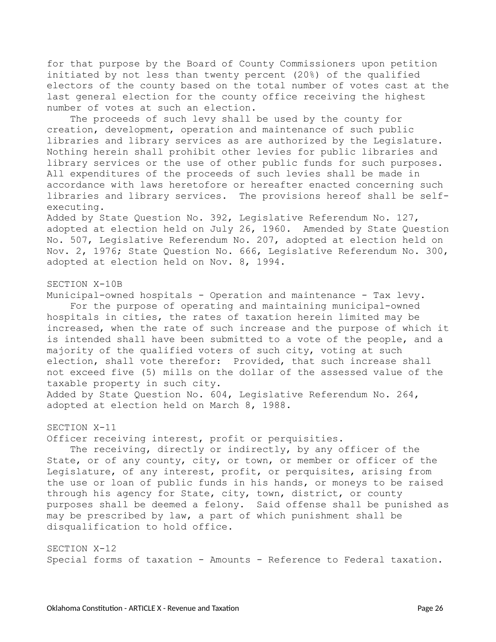for that purpose by the Board of County Commissioners upon petition initiated by not less than twenty percent (20%) of the qualified electors of the county based on the total number of votes cast at the last general election for the county office receiving the highest number of votes at such an election.

The proceeds of such levy shall be used by the county for creation, development, operation and maintenance of such public libraries and library services as are authorized by the Legislature. Nothing herein shall prohibit other levies for public libraries and library services or the use of other public funds for such purposes. All expenditures of the proceeds of such levies shall be made in accordance with laws heretofore or hereafter enacted concerning such libraries and library services. The provisions hereof shall be selfexecuting.

Added by State Question No. 392, Legislative Referendum No. 127, adopted at election held on July 26, 1960. Amended by State Question No. 507, Legislative Referendum No. 207, adopted at election held on Nov. 2, 1976; State Question No. 666, Legislative Referendum No. 300, adopted at election held on Nov. 8, 1994.

SECTION X-10B

Municipal-owned hospitals - Operation and maintenance - Tax levy. For the purpose of operating and maintaining municipal-owned hospitals in cities, the rates of taxation herein limited may be increased, when the rate of such increase and the purpose of which it is intended shall have been submitted to a vote of the people, and a majority of the qualified voters of such city, voting at such election, shall vote therefor: Provided, that such increase shall not exceed five (5) mills on the dollar of the assessed value of the taxable property in such city.

Added by State Question No. 604, Legislative Referendum No. 264, adopted at election held on March 8, 1988.

#### SECTION X-11

Officer receiving interest, profit or perquisities.

The receiving, directly or indirectly, by any officer of the State, or of any county, city, or town, or member or officer of the Legislature, of any interest, profit, or perquisites, arising from the use or loan of public funds in his hands, or moneys to be raised through his agency for State, city, town, district, or county purposes shall be deemed a felony. Said offense shall be punished as may be prescribed by law, a part of which punishment shall be disqualification to hold office.

SECTION X-12 Special forms of taxation - Amounts - Reference to Federal taxation.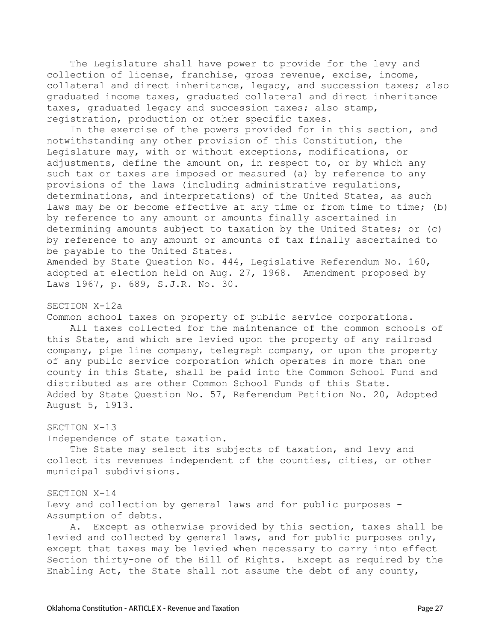The Legislature shall have power to provide for the levy and collection of license, franchise, gross revenue, excise, income, collateral and direct inheritance, legacy, and succession taxes; also graduated income taxes, graduated collateral and direct inheritance taxes, graduated legacy and succession taxes; also stamp, registration, production or other specific taxes.

In the exercise of the powers provided for in this section, and notwithstanding any other provision of this Constitution, the Legislature may, with or without exceptions, modifications, or adjustments, define the amount on, in respect to, or by which any such tax or taxes are imposed or measured (a) by reference to any provisions of the laws (including administrative regulations, determinations, and interpretations) of the United States, as such laws may be or become effective at any time or from time to time; (b) by reference to any amount or amounts finally ascertained in determining amounts subject to taxation by the United States; or (c) by reference to any amount or amounts of tax finally ascertained to be payable to the United States.

Amended by State Question No. 444, Legislative Referendum No. 160, adopted at election held on Aug. 27, 1968. Amendment proposed by Laws 1967, p. 689, S.J.R. No. 30.

#### SECTION X-12a

Common school taxes on property of public service corporations.

All taxes collected for the maintenance of the common schools of this State, and which are levied upon the property of any railroad company, pipe line company, telegraph company, or upon the property of any public service corporation which operates in more than one county in this State, shall be paid into the Common School Fund and distributed as are other Common School Funds of this State. Added by State Question No. 57, Referendum Petition No. 20, Adopted August 5, 1913.

#### SECTION X-13

Independence of state taxation.

The State may select its subjects of taxation, and levy and collect its revenues independent of the counties, cities, or other municipal subdivisions.

#### SECTION X-14

Levy and collection by general laws and for public purposes - Assumption of debts.

A. Except as otherwise provided by this section, taxes shall be levied and collected by general laws, and for public purposes only, except that taxes may be levied when necessary to carry into effect Section thirty-one of the Bill of Rights. Except as required by the Enabling Act, the State shall not assume the debt of any county,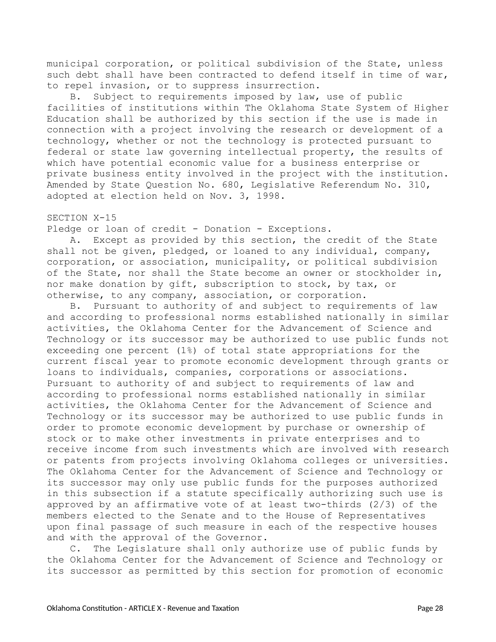municipal corporation, or political subdivision of the State, unless such debt shall have been contracted to defend itself in time of war, to repel invasion, or to suppress insurrection.

B. Subject to requirements imposed by law, use of public facilities of institutions within The Oklahoma State System of Higher Education shall be authorized by this section if the use is made in connection with a project involving the research or development of a technology, whether or not the technology is protected pursuant to federal or state law governing intellectual property, the results of which have potential economic value for a business enterprise or private business entity involved in the project with the institution. Amended by State Question No. 680, Legislative Referendum No. 310, adopted at election held on Nov. 3, 1998.

#### SECTION X-15

Pledge or loan of credit - Donation - Exceptions.

A. Except as provided by this section, the credit of the State shall not be given, pledged, or loaned to any individual, company, corporation, or association, municipality, or political subdivision of the State, nor shall the State become an owner or stockholder in, nor make donation by gift, subscription to stock, by tax, or otherwise, to any company, association, or corporation.

B. Pursuant to authority of and subject to requirements of law and according to professional norms established nationally in similar activities, the Oklahoma Center for the Advancement of Science and Technology or its successor may be authorized to use public funds not exceeding one percent (1%) of total state appropriations for the current fiscal year to promote economic development through grants or loans to individuals, companies, corporations or associations. Pursuant to authority of and subject to requirements of law and according to professional norms established nationally in similar activities, the Oklahoma Center for the Advancement of Science and Technology or its successor may be authorized to use public funds in order to promote economic development by purchase or ownership of stock or to make other investments in private enterprises and to receive income from such investments which are involved with research or patents from projects involving Oklahoma colleges or universities. The Oklahoma Center for the Advancement of Science and Technology or its successor may only use public funds for the purposes authorized in this subsection if a statute specifically authorizing such use is approved by an affirmative vote of at least two-thirds (2/3) of the members elected to the Senate and to the House of Representatives upon final passage of such measure in each of the respective houses and with the approval of the Governor.

C. The Legislature shall only authorize use of public funds by the Oklahoma Center for the Advancement of Science and Technology or its successor as permitted by this section for promotion of economic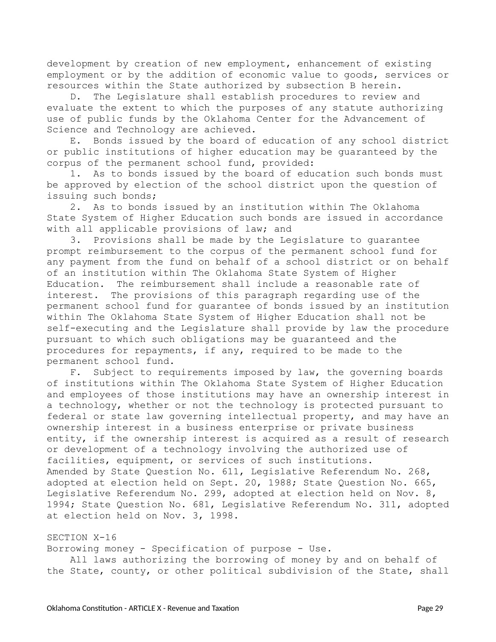development by creation of new employment, enhancement of existing employment or by the addition of economic value to goods, services or resources within the State authorized by subsection B herein.

D. The Legislature shall establish procedures to review and evaluate the extent to which the purposes of any statute authorizing use of public funds by the Oklahoma Center for the Advancement of Science and Technology are achieved.

E. Bonds issued by the board of education of any school district or public institutions of higher education may be guaranteed by the corpus of the permanent school fund, provided:

1. As to bonds issued by the board of education such bonds must be approved by election of the school district upon the question of issuing such bonds;

2. As to bonds issued by an institution within The Oklahoma State System of Higher Education such bonds are issued in accordance with all applicable provisions of law; and

3. Provisions shall be made by the Legislature to guarantee prompt reimbursement to the corpus of the permanent school fund for any payment from the fund on behalf of a school district or on behalf of an institution within The Oklahoma State System of Higher Education. The reimbursement shall include a reasonable rate of interest. The provisions of this paragraph regarding use of the permanent school fund for guarantee of bonds issued by an institution within The Oklahoma State System of Higher Education shall not be self-executing and the Legislature shall provide by law the procedure pursuant to which such obligations may be guaranteed and the procedures for repayments, if any, required to be made to the permanent school fund.

F. Subject to requirements imposed by law, the governing boards of institutions within The Oklahoma State System of Higher Education and employees of those institutions may have an ownership interest in a technology, whether or not the technology is protected pursuant to federal or state law governing intellectual property, and may have an ownership interest in a business enterprise or private business entity, if the ownership interest is acquired as a result of research or development of a technology involving the authorized use of facilities, equipment, or services of such institutions. Amended by State Question No. 611, Legislative Referendum No. 268, adopted at election held on Sept. 20, 1988; State Question No. 665, Legislative Referendum No. 299, adopted at election held on Nov. 8, 1994; State Question No. 681, Legislative Referendum No. 311, adopted at election held on Nov. 3, 1998.

## SECTION X-16

Borrowing money - Specification of purpose - Use.

All laws authorizing the borrowing of money by and on behalf of the State, county, or other political subdivision of the State, shall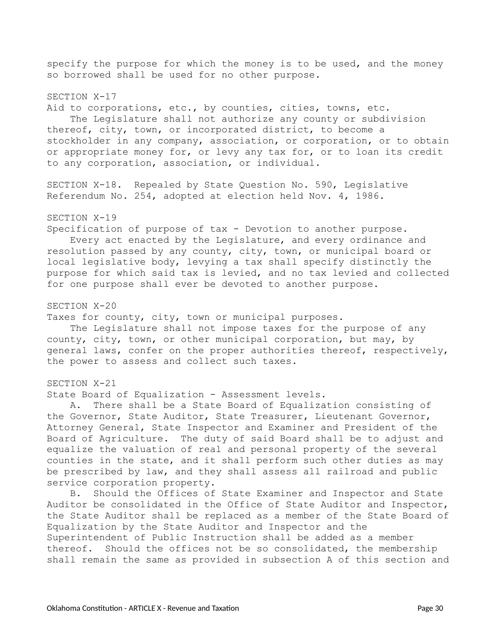specify the purpose for which the money is to be used, and the money so borrowed shall be used for no other purpose.

### SECTION X-17

Aid to corporations, etc., by counties, cities, towns, etc.

The Legislature shall not authorize any county or subdivision thereof, city, town, or incorporated district, to become a stockholder in any company, association, or corporation, or to obtain or appropriate money for, or levy any tax for, or to loan its credit to any corporation, association, or individual.

SECTION X-18. Repealed by State Question No. 590, Legislative Referendum No. 254, adopted at election held Nov. 4, 1986.

#### SECTION X-19

Specification of purpose of tax - Devotion to another purpose.

Every act enacted by the Legislature, and every ordinance and resolution passed by any county, city, town, or municipal board or local legislative body, levying a tax shall specify distinctly the purpose for which said tax is levied, and no tax levied and collected for one purpose shall ever be devoted to another purpose.

### SECTION X-20

Taxes for county, city, town or municipal purposes.

The Legislature shall not impose taxes for the purpose of any county, city, town, or other municipal corporation, but may, by general laws, confer on the proper authorities thereof, respectively, the power to assess and collect such taxes.

#### SECTION X-21

State Board of Equalization - Assessment levels.

A. There shall be a State Board of Equalization consisting of the Governor, State Auditor, State Treasurer, Lieutenant Governor, Attorney General, State Inspector and Examiner and President of the Board of Agriculture. The duty of said Board shall be to adjust and equalize the valuation of real and personal property of the several counties in the state, and it shall perform such other duties as may be prescribed by law, and they shall assess all railroad and public service corporation property.

B. Should the Offices of State Examiner and Inspector and State Auditor be consolidated in the Office of State Auditor and Inspector, the State Auditor shall be replaced as a member of the State Board of Equalization by the State Auditor and Inspector and the Superintendent of Public Instruction shall be added as a member thereof. Should the offices not be so consolidated, the membership shall remain the same as provided in subsection A of this section and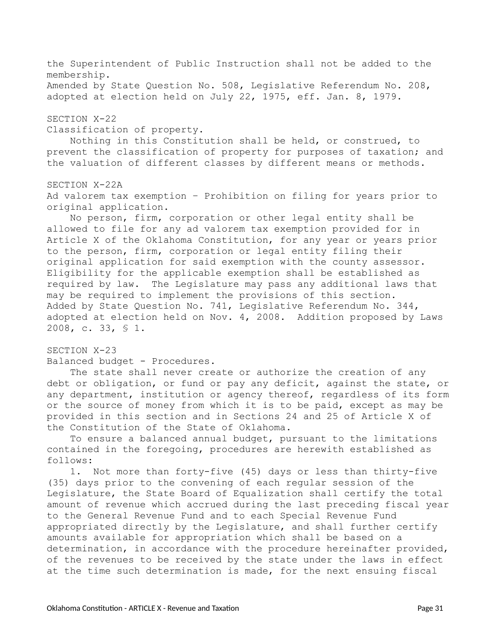the Superintendent of Public Instruction shall not be added to the membership.

Amended by State Question No. 508, Legislative Referendum No. 208, adopted at election held on July 22, 1975, eff. Jan. 8, 1979.

# SECTION X-22

Classification of property.

Nothing in this Constitution shall be held, or construed, to prevent the classification of property for purposes of taxation; and the valuation of different classes by different means or methods.

#### SECTION X-22A

Ad valorem tax exemption – Prohibition on filing for years prior to original application.

No person, firm, corporation or other legal entity shall be allowed to file for any ad valorem tax exemption provided for in Article X of the Oklahoma Constitution, for any year or years prior to the person, firm, corporation or legal entity filing their original application for said exemption with the county assessor. Eligibility for the applicable exemption shall be established as required by law. The Legislature may pass any additional laws that may be required to implement the provisions of this section. Added by State Question No. 741, Legislative Referendum No. 344, adopted at election held on Nov. 4, 2008. Addition proposed by Laws 2008, c. 33, § 1.

### SECTION X-23

Balanced budget - Procedures.

The state shall never create or authorize the creation of any debt or obligation, or fund or pay any deficit, against the state, or any department, institution or agency thereof, regardless of its form or the source of money from which it is to be paid, except as may be provided in this section and in Sections 24 and 25 of Article X of the Constitution of the State of Oklahoma.

To ensure a balanced annual budget, pursuant to the limitations contained in the foregoing, procedures are herewith established as follows:

1. Not more than forty-five (45) days or less than thirty-five (35) days prior to the convening of each regular session of the Legislature, the State Board of Equalization shall certify the total amount of revenue which accrued during the last preceding fiscal year to the General Revenue Fund and to each Special Revenue Fund appropriated directly by the Legislature, and shall further certify amounts available for appropriation which shall be based on a determination, in accordance with the procedure hereinafter provided, of the revenues to be received by the state under the laws in effect at the time such determination is made, for the next ensuing fiscal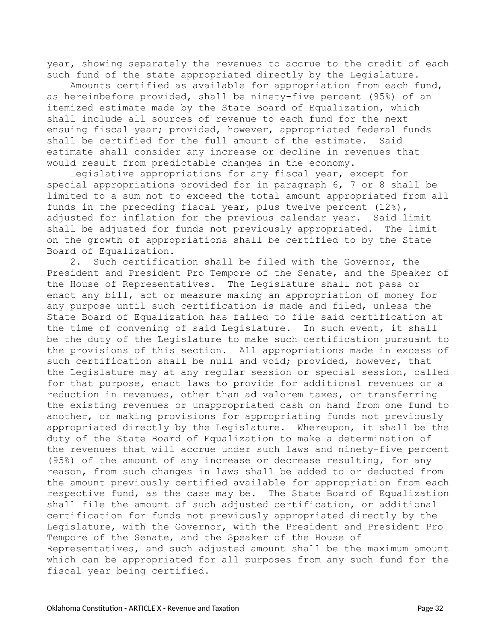year, showing separately the revenues to accrue to the credit of each such fund of the state appropriated directly by the Legislature.

Amounts certified as available for appropriation from each fund, as hereinbefore provided, shall be ninety-five percent (95%) of an itemized estimate made by the State Board of Equalization, which shall include all sources of revenue to each fund for the next ensuing fiscal year; provided, however, appropriated federal funds shall be certified for the full amount of the estimate. Said estimate shall consider any increase or decline in revenues that would result from predictable changes in the economy.

Legislative appropriations for any fiscal year, except for special appropriations provided for in paragraph 6, 7 or 8 shall be limited to a sum not to exceed the total amount appropriated from all funds in the preceding fiscal year, plus twelve percent (12%), adjusted for inflation for the previous calendar year. Said limit shall be adjusted for funds not previously appropriated. The limit on the growth of appropriations shall be certified to by the State Board of Equalization.

2. Such certification shall be filed with the Governor, the President and President Pro Tempore of the Senate, and the Speaker of the House of Representatives. The Legislature shall not pass or enact any bill, act or measure making an appropriation of money for any purpose until such certification is made and filed, unless the State Board of Equalization has failed to file said certification at the time of convening of said Legislature. In such event, it shall be the duty of the Legislature to make such certification pursuant to the provisions of this section. All appropriations made in excess of such certification shall be null and void; provided, however, that the Legislature may at any regular session or special session, called for that purpose, enact laws to provide for additional revenues or a reduction in revenues, other than ad valorem taxes, or transferring the existing revenues or unappropriated cash on hand from one fund to another, or making provisions for appropriating funds not previously appropriated directly by the Legislature. Whereupon, it shall be the duty of the State Board of Equalization to make a determination of the revenues that will accrue under such laws and ninety-five percent (95%) of the amount of any increase or decrease resulting, for any reason, from such changes in laws shall be added to or deducted from the amount previously certified available for appropriation from each respective fund, as the case may be. The State Board of Equalization shall file the amount of such adjusted certification, or additional certification for funds not previously appropriated directly by the Legislature, with the Governor, with the President and President Pro Tempore of the Senate, and the Speaker of the House of Representatives, and such adjusted amount shall be the maximum amount which can be appropriated for all purposes from any such fund for the fiscal year being certified.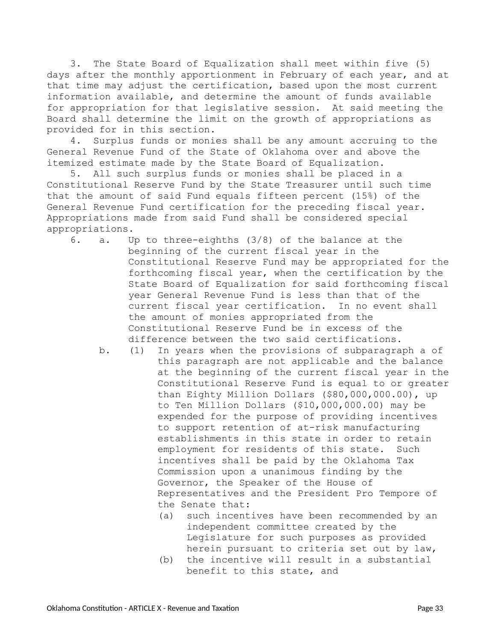3. The State Board of Equalization shall meet within five (5) days after the monthly apportionment in February of each year, and at that time may adjust the certification, based upon the most current information available, and determine the amount of funds available for appropriation for that legislative session. At said meeting the Board shall determine the limit on the growth of appropriations as provided for in this section.

4. Surplus funds or monies shall be any amount accruing to the General Revenue Fund of the State of Oklahoma over and above the itemized estimate made by the State Board of Equalization.

5. All such surplus funds or monies shall be placed in a Constitutional Reserve Fund by the State Treasurer until such time that the amount of said Fund equals fifteen percent (15%) of the General Revenue Fund certification for the preceding fiscal year. Appropriations made from said Fund shall be considered special appropriations.

6. a. Up to three-eighths (3/8) of the balance at the beginning of the current fiscal year in the Constitutional Reserve Fund may be appropriated for the forthcoming fiscal year, when the certification by the State Board of Equalization for said forthcoming fiscal year General Revenue Fund is less than that of the current fiscal year certification. In no event shall the amount of monies appropriated from the Constitutional Reserve Fund be in excess of the difference between the two said certifications.

- b. (1) In years when the provisions of subparagraph a of this paragraph are not applicable and the balance at the beginning of the current fiscal year in the Constitutional Reserve Fund is equal to or greater than Eighty Million Dollars (\$80,000,000.00), up to Ten Million Dollars (\$10,000,000.00) may be expended for the purpose of providing incentives to support retention of at-risk manufacturing establishments in this state in order to retain employment for residents of this state. Such incentives shall be paid by the Oklahoma Tax Commission upon a unanimous finding by the Governor, the Speaker of the House of Representatives and the President Pro Tempore of the Senate that:
	- (a) such incentives have been recommended by an independent committee created by the Legislature for such purposes as provided herein pursuant to criteria set out by law,
	- (b) the incentive will result in a substantial benefit to this state, and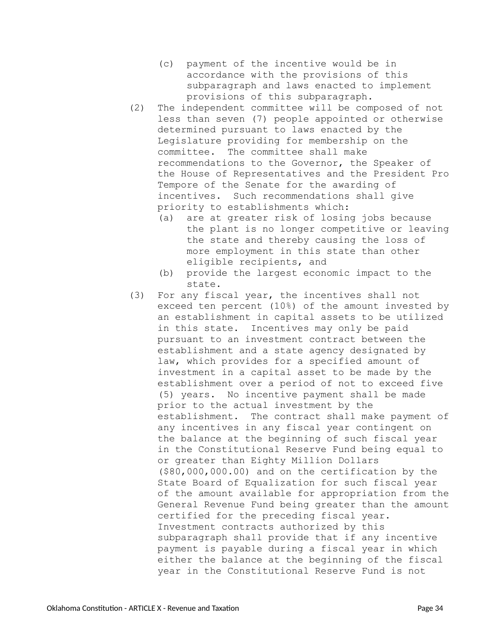- (c) payment of the incentive would be in accordance with the provisions of this subparagraph and laws enacted to implement provisions of this subparagraph.
- (2) The independent committee will be composed of not less than seven (7) people appointed or otherwise determined pursuant to laws enacted by the Legislature providing for membership on the committee. The committee shall make recommendations to the Governor, the Speaker of the House of Representatives and the President Pro Tempore of the Senate for the awarding of incentives. Such recommendations shall give priority to establishments which:
	- (a) are at greater risk of losing jobs because the plant is no longer competitive or leaving the state and thereby causing the loss of more employment in this state than other eligible recipients, and
	- (b) provide the largest economic impact to the state.
- (3) For any fiscal year, the incentives shall not exceed ten percent (10%) of the amount invested by an establishment in capital assets to be utilized in this state. Incentives may only be paid pursuant to an investment contract between the establishment and a state agency designated by law, which provides for a specified amount of investment in a capital asset to be made by the establishment over a period of not to exceed five (5) years. No incentive payment shall be made prior to the actual investment by the establishment. The contract shall make payment of any incentives in any fiscal year contingent on the balance at the beginning of such fiscal year in the Constitutional Reserve Fund being equal to or greater than Eighty Million Dollars (\$80,000,000.00) and on the certification by the State Board of Equalization for such fiscal year of the amount available for appropriation from the General Revenue Fund being greater than the amount certified for the preceding fiscal year. Investment contracts authorized by this subparagraph shall provide that if any incentive payment is payable during a fiscal year in which either the balance at the beginning of the fiscal year in the Constitutional Reserve Fund is not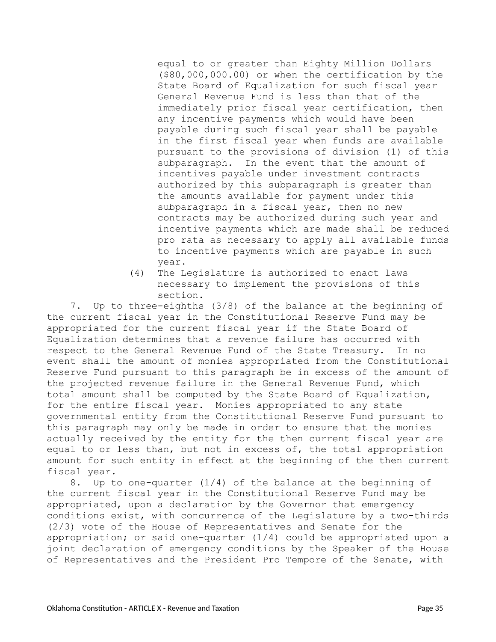equal to or greater than Eighty Million Dollars (\$80,000,000.00) or when the certification by the State Board of Equalization for such fiscal year General Revenue Fund is less than that of the immediately prior fiscal year certification, then any incentive payments which would have been payable during such fiscal year shall be payable in the first fiscal year when funds are available pursuant to the provisions of division (1) of this subparagraph. In the event that the amount of incentives payable under investment contracts authorized by this subparagraph is greater than the amounts available for payment under this subparagraph in a fiscal year, then no new contracts may be authorized during such year and incentive payments which are made shall be reduced pro rata as necessary to apply all available funds to incentive payments which are payable in such year.

(4) The Legislature is authorized to enact laws necessary to implement the provisions of this section.

7. Up to three-eighths (3/8) of the balance at the beginning of the current fiscal year in the Constitutional Reserve Fund may be appropriated for the current fiscal year if the State Board of Equalization determines that a revenue failure has occurred with respect to the General Revenue Fund of the State Treasury. In no event shall the amount of monies appropriated from the Constitutional Reserve Fund pursuant to this paragraph be in excess of the amount of the projected revenue failure in the General Revenue Fund, which total amount shall be computed by the State Board of Equalization, for the entire fiscal year. Monies appropriated to any state governmental entity from the Constitutional Reserve Fund pursuant to this paragraph may only be made in order to ensure that the monies actually received by the entity for the then current fiscal year are equal to or less than, but not in excess of, the total appropriation amount for such entity in effect at the beginning of the then current fiscal year.

8. Up to one-quarter (1/4) of the balance at the beginning of the current fiscal year in the Constitutional Reserve Fund may be appropriated, upon a declaration by the Governor that emergency conditions exist, with concurrence of the Legislature by a two-thirds (2/3) vote of the House of Representatives and Senate for the appropriation; or said one-quarter (1/4) could be appropriated upon a joint declaration of emergency conditions by the Speaker of the House of Representatives and the President Pro Tempore of the Senate, with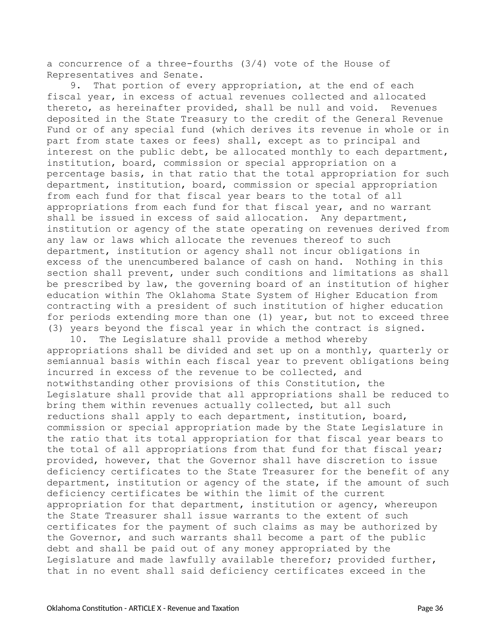a concurrence of a three-fourths (3/4) vote of the House of Representatives and Senate.

9. That portion of every appropriation, at the end of each fiscal year, in excess of actual revenues collected and allocated thereto, as hereinafter provided, shall be null and void. Revenues deposited in the State Treasury to the credit of the General Revenue Fund or of any special fund (which derives its revenue in whole or in part from state taxes or fees) shall, except as to principal and interest on the public debt, be allocated monthly to each department, institution, board, commission or special appropriation on a percentage basis, in that ratio that the total appropriation for such department, institution, board, commission or special appropriation from each fund for that fiscal year bears to the total of all appropriations from each fund for that fiscal year, and no warrant shall be issued in excess of said allocation. Any department, institution or agency of the state operating on revenues derived from any law or laws which allocate the revenues thereof to such department, institution or agency shall not incur obligations in excess of the unencumbered balance of cash on hand. Nothing in this section shall prevent, under such conditions and limitations as shall be prescribed by law, the governing board of an institution of higher education within The Oklahoma State System of Higher Education from contracting with a president of such institution of higher education for periods extending more than one (1) year, but not to exceed three (3) years beyond the fiscal year in which the contract is signed.

10. The Legislature shall provide a method whereby appropriations shall be divided and set up on a monthly, quarterly or semiannual basis within each fiscal year to prevent obligations being incurred in excess of the revenue to be collected, and notwithstanding other provisions of this Constitution, the Legislature shall provide that all appropriations shall be reduced to bring them within revenues actually collected, but all such reductions shall apply to each department, institution, board, commission or special appropriation made by the State Legislature in the ratio that its total appropriation for that fiscal year bears to the total of all appropriations from that fund for that fiscal year; provided, however, that the Governor shall have discretion to issue deficiency certificates to the State Treasurer for the benefit of any department, institution or agency of the state, if the amount of such deficiency certificates be within the limit of the current appropriation for that department, institution or agency, whereupon the State Treasurer shall issue warrants to the extent of such certificates for the payment of such claims as may be authorized by the Governor, and such warrants shall become a part of the public debt and shall be paid out of any money appropriated by the Legislature and made lawfully available therefor; provided further, that in no event shall said deficiency certificates exceed in the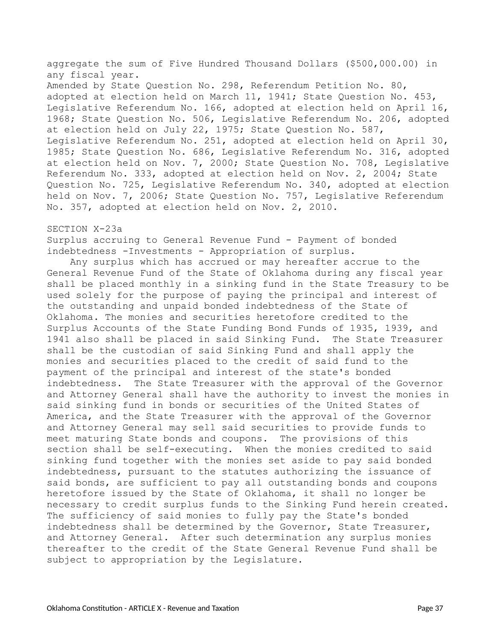aggregate the sum of Five Hundred Thousand Dollars (\$500,000.00) in any fiscal year. Amended by State Question No. 298, Referendum Petition No. 80, adopted at election held on March 11, 1941; State Question No. 453, Legislative Referendum No. 166, adopted at election held on April 16, 1968; State Question No. 506, Legislative Referendum No. 206, adopted at election held on July 22, 1975; State Question No. 587, Legislative Referendum No. 251, adopted at election held on April 30, 1985; State Question No. 686, Legislative Referendum No. 316, adopted at election held on Nov. 7, 2000; State Question No. 708, Legislative Referendum No. 333, adopted at election held on Nov. 2, 2004; State Question No. 725, Legislative Referendum No. 340, adopted at election held on Nov. 7, 2006; State Question No. 757, Legislative Referendum No. 357, adopted at election held on Nov. 2, 2010.

#### SECTION X-23a

Surplus accruing to General Revenue Fund - Payment of bonded indebtedness -Investments - Appropriation of surplus.

Any surplus which has accrued or may hereafter accrue to the General Revenue Fund of the State of Oklahoma during any fiscal year shall be placed monthly in a sinking fund in the State Treasury to be used solely for the purpose of paying the principal and interest of the outstanding and unpaid bonded indebtedness of the State of Oklahoma. The monies and securities heretofore credited to the Surplus Accounts of the State Funding Bond Funds of 1935, 1939, and 1941 also shall be placed in said Sinking Fund. The State Treasurer shall be the custodian of said Sinking Fund and shall apply the monies and securities placed to the credit of said fund to the payment of the principal and interest of the state's bonded indebtedness. The State Treasurer with the approval of the Governor and Attorney General shall have the authority to invest the monies in said sinking fund in bonds or securities of the United States of America, and the State Treasurer with the approval of the Governor and Attorney General may sell said securities to provide funds to meet maturing State bonds and coupons. The provisions of this section shall be self-executing. When the monies credited to said sinking fund together with the monies set aside to pay said bonded indebtedness, pursuant to the statutes authorizing the issuance of said bonds, are sufficient to pay all outstanding bonds and coupons heretofore issued by the State of Oklahoma, it shall no longer be necessary to credit surplus funds to the Sinking Fund herein created. The sufficiency of said monies to fully pay the State's bonded indebtedness shall be determined by the Governor, State Treasurer, and Attorney General. After such determination any surplus monies thereafter to the credit of the State General Revenue Fund shall be subject to appropriation by the Legislature.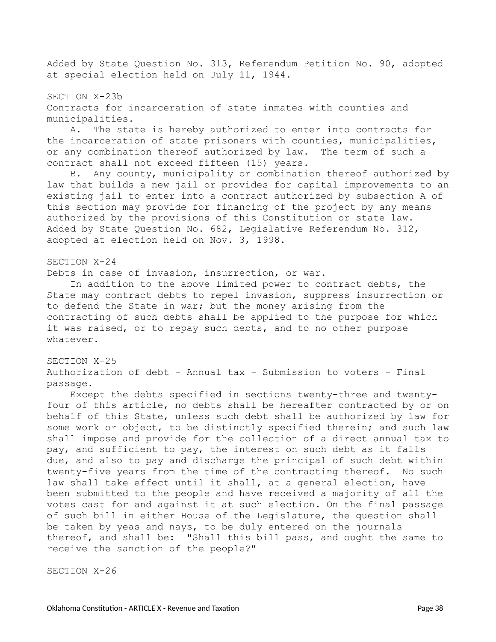Added by State Question No. 313, Referendum Petition No. 90, adopted at special election held on July 11, 1944.

# SECTION X-23b Contracts for incarceration of state inmates with counties and municipalities.

A. The state is hereby authorized to enter into contracts for the incarceration of state prisoners with counties, municipalities, or any combination thereof authorized by law. The term of such a contract shall not exceed fifteen (15) years.

B. Any county, municipality or combination thereof authorized by law that builds a new jail or provides for capital improvements to an existing jail to enter into a contract authorized by subsection A of this section may provide for financing of the project by any means authorized by the provisions of this Constitution or state law. Added by State Question No. 682, Legislative Referendum No. 312, adopted at election held on Nov. 3, 1998.

#### SECTION X-24

Debts in case of invasion, insurrection, or war.

In addition to the above limited power to contract debts, the State may contract debts to repel invasion, suppress insurrection or to defend the State in war; but the money arising from the contracting of such debts shall be applied to the purpose for which it was raised, or to repay such debts, and to no other purpose whatever.

### SECTION X-25

Authorization of debt - Annual tax - Submission to voters - Final passage.

Except the debts specified in sections twenty-three and twentyfour of this article, no debts shall be hereafter contracted by or on behalf of this State, unless such debt shall be authorized by law for some work or object, to be distinctly specified therein; and such law shall impose and provide for the collection of a direct annual tax to pay, and sufficient to pay, the interest on such debt as it falls due, and also to pay and discharge the principal of such debt within twenty-five years from the time of the contracting thereof. No such law shall take effect until it shall, at a general election, have been submitted to the people and have received a majority of all the votes cast for and against it at such election. On the final passage of such bill in either House of the Legislature, the question shall be taken by yeas and nays, to be duly entered on the journals thereof, and shall be: "Shall this bill pass, and ought the same to receive the sanction of the people?"

SECTION X-26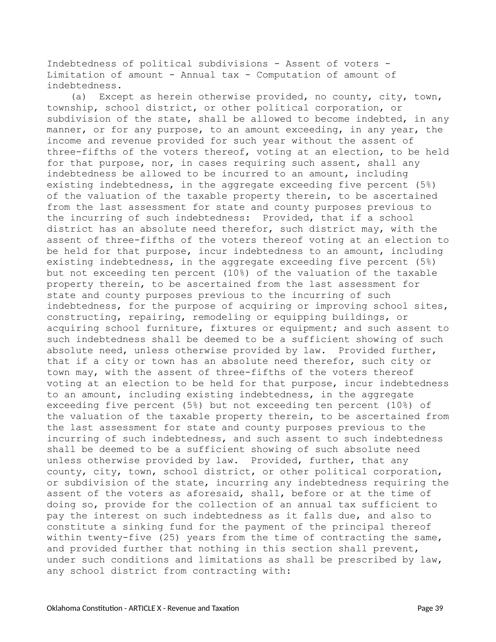Indebtedness of political subdivisions - Assent of voters - Limitation of amount - Annual tax - Computation of amount of indebtedness.

(a) Except as herein otherwise provided, no county, city, town, township, school district, or other political corporation, or subdivision of the state, shall be allowed to become indebted, in any manner, or for any purpose, to an amount exceeding, in any year, the income and revenue provided for such year without the assent of three-fifths of the voters thereof, voting at an election, to be held for that purpose, nor, in cases requiring such assent, shall any indebtedness be allowed to be incurred to an amount, including existing indebtedness, in the aggregate exceeding five percent (5%) of the valuation of the taxable property therein, to be ascertained from the last assessment for state and county purposes previous to the incurring of such indebtedness: Provided, that if a school district has an absolute need therefor, such district may, with the assent of three-fifths of the voters thereof voting at an election to be held for that purpose, incur indebtedness to an amount, including existing indebtedness, in the aggregate exceeding five percent (5%) but not exceeding ten percent (10%) of the valuation of the taxable property therein, to be ascertained from the last assessment for state and county purposes previous to the incurring of such indebtedness, for the purpose of acquiring or improving school sites, constructing, repairing, remodeling or equipping buildings, or acquiring school furniture, fixtures or equipment; and such assent to such indebtedness shall be deemed to be a sufficient showing of such absolute need, unless otherwise provided by law. Provided further, that if a city or town has an absolute need therefor, such city or town may, with the assent of three-fifths of the voters thereof voting at an election to be held for that purpose, incur indebtedness to an amount, including existing indebtedness, in the aggregate exceeding five percent (5%) but not exceeding ten percent (10%) of the valuation of the taxable property therein, to be ascertained from the last assessment for state and county purposes previous to the incurring of such indebtedness, and such assent to such indebtedness shall be deemed to be a sufficient showing of such absolute need unless otherwise provided by law. Provided, further, that any county, city, town, school district, or other political corporation, or subdivision of the state, incurring any indebtedness requiring the assent of the voters as aforesaid, shall, before or at the time of doing so, provide for the collection of an annual tax sufficient to pay the interest on such indebtedness as it falls due, and also to constitute a sinking fund for the payment of the principal thereof within twenty-five (25) years from the time of contracting the same, and provided further that nothing in this section shall prevent, under such conditions and limitations as shall be prescribed by law, any school district from contracting with: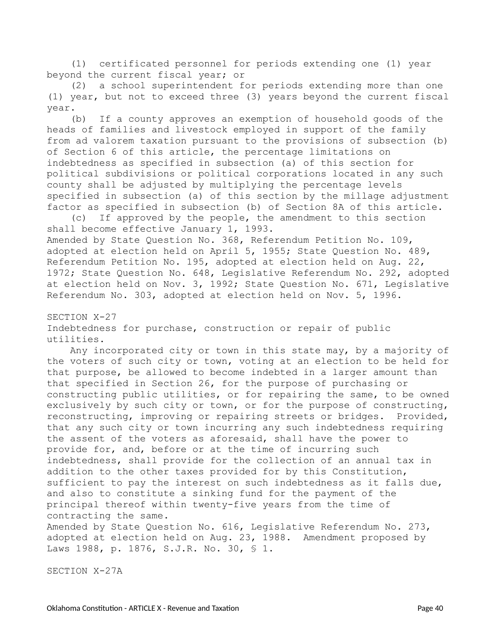(1) certificated personnel for periods extending one (1) year beyond the current fiscal year; or

(2) a school superintendent for periods extending more than one (1) year, but not to exceed three (3) years beyond the current fiscal year.

(b) If a county approves an exemption of household goods of the heads of families and livestock employed in support of the family from ad valorem taxation pursuant to the provisions of subsection (b) of Section 6 of this article, the percentage limitations on indebtedness as specified in subsection (a) of this section for political subdivisions or political corporations located in any such county shall be adjusted by multiplying the percentage levels specified in subsection (a) of this section by the millage adjustment factor as specified in subsection (b) of Section 8A of this article.

(c) If approved by the people, the amendment to this section shall become effective January 1, 1993. Amended by State Question No. 368, Referendum Petition No. 109, adopted at election held on April 5, 1955; State Question No. 489, Referendum Petition No. 195, adopted at election held on Aug. 22, 1972; State Question No. 648, Legislative Referendum No. 292, adopted at election held on Nov. 3, 1992; State Question No. 671, Legislative Referendum No. 303, adopted at election held on Nov. 5, 1996.

### SECTION X-27

Indebtedness for purchase, construction or repair of public utilities.

Any incorporated city or town in this state may, by a majority of the voters of such city or town, voting at an election to be held for that purpose, be allowed to become indebted in a larger amount than that specified in Section 26, for the purpose of purchasing or constructing public utilities, or for repairing the same, to be owned exclusively by such city or town, or for the purpose of constructing, reconstructing, improving or repairing streets or bridges. Provided, that any such city or town incurring any such indebtedness requiring the assent of the voters as aforesaid, shall have the power to provide for, and, before or at the time of incurring such indebtedness, shall provide for the collection of an annual tax in addition to the other taxes provided for by this Constitution, sufficient to pay the interest on such indebtedness as it falls due, and also to constitute a sinking fund for the payment of the principal thereof within twenty-five years from the time of contracting the same.

Amended by State Question No. 616, Legislative Referendum No. 273, adopted at election held on Aug. 23, 1988. Amendment proposed by Laws 1988, p. 1876, S.J.R. No. 30, § 1.

SECTION X-27A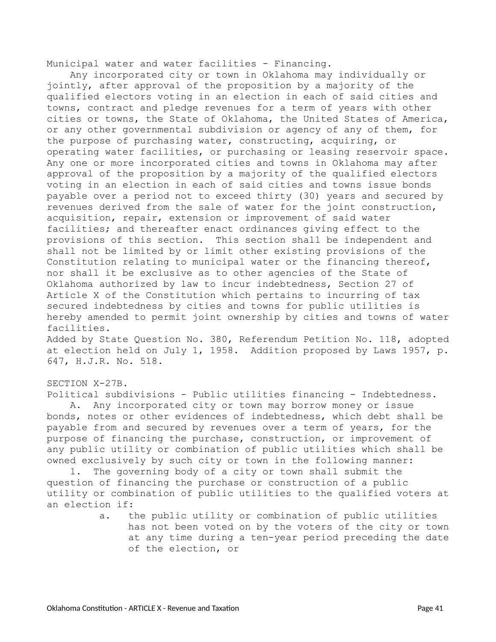Municipal water and water facilities - Financing.

Any incorporated city or town in Oklahoma may individually or jointly, after approval of the proposition by a majority of the qualified electors voting in an election in each of said cities and towns, contract and pledge revenues for a term of years with other cities or towns, the State of Oklahoma, the United States of America, or any other governmental subdivision or agency of any of them, for the purpose of purchasing water, constructing, acquiring, or operating water facilities, or purchasing or leasing reservoir space. Any one or more incorporated cities and towns in Oklahoma may after approval of the proposition by a majority of the qualified electors voting in an election in each of said cities and towns issue bonds payable over a period not to exceed thirty (30) years and secured by revenues derived from the sale of water for the joint construction, acquisition, repair, extension or improvement of said water facilities; and thereafter enact ordinances giving effect to the provisions of this section. This section shall be independent and shall not be limited by or limit other existing provisions of the Constitution relating to municipal water or the financing thereof, nor shall it be exclusive as to other agencies of the State of Oklahoma authorized by law to incur indebtedness, Section 27 of Article X of the Constitution which pertains to incurring of tax secured indebtedness by cities and towns for public utilities is hereby amended to permit joint ownership by cities and towns of water facilities. Added by State Question No. 380, Referendum Petition No. 118, adopted

at election held on July 1, 1958. Addition proposed by Laws 1957, p. 647, H.J.R. No. 518.

### SECTION X-27B.

Political subdivisions - Public utilities financing - Indebtedness.

A. Any incorporated city or town may borrow money or issue bonds, notes or other evidences of indebtedness, which debt shall be payable from and secured by revenues over a term of years, for the purpose of financing the purchase, construction, or improvement of any public utility or combination of public utilities which shall be owned exclusively by such city or town in the following manner:

1. The governing body of a city or town shall submit the question of financing the purchase or construction of a public utility or combination of public utilities to the qualified voters at an election if:

> a. the public utility or combination of public utilities has not been voted on by the voters of the city or town at any time during a ten-year period preceding the date of the election, or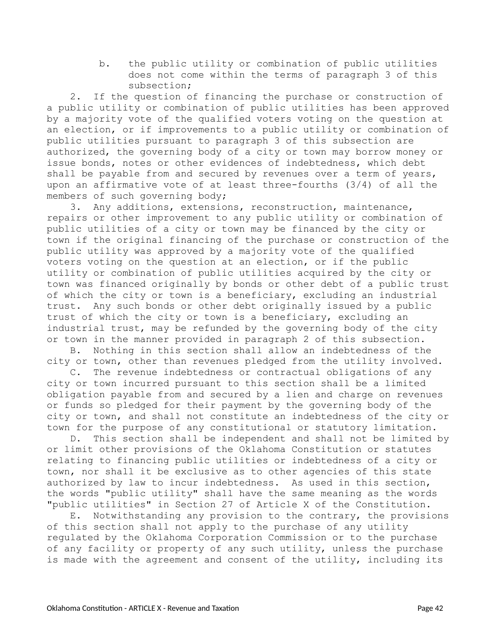b. the public utility or combination of public utilities does not come within the terms of paragraph 3 of this subsection;

2. If the question of financing the purchase or construction of a public utility or combination of public utilities has been approved by a majority vote of the qualified voters voting on the question at an election, or if improvements to a public utility or combination of public utilities pursuant to paragraph 3 of this subsection are authorized, the governing body of a city or town may borrow money or issue bonds, notes or other evidences of indebtedness, which debt shall be payable from and secured by revenues over a term of years, upon an affirmative vote of at least three-fourths (3/4) of all the members of such governing body;

3. Any additions, extensions, reconstruction, maintenance, repairs or other improvement to any public utility or combination of public utilities of a city or town may be financed by the city or town if the original financing of the purchase or construction of the public utility was approved by a majority vote of the qualified voters voting on the question at an election, or if the public utility or combination of public utilities acquired by the city or town was financed originally by bonds or other debt of a public trust of which the city or town is a beneficiary, excluding an industrial trust. Any such bonds or other debt originally issued by a public trust of which the city or town is a beneficiary, excluding an industrial trust, may be refunded by the governing body of the city or town in the manner provided in paragraph 2 of this subsection.

B. Nothing in this section shall allow an indebtedness of the city or town, other than revenues pledged from the utility involved.

C. The revenue indebtedness or contractual obligations of any city or town incurred pursuant to this section shall be a limited obligation payable from and secured by a lien and charge on revenues or funds so pledged for their payment by the governing body of the city or town, and shall not constitute an indebtedness of the city or town for the purpose of any constitutional or statutory limitation.

D. This section shall be independent and shall not be limited by or limit other provisions of the Oklahoma Constitution or statutes relating to financing public utilities or indebtedness of a city or town, nor shall it be exclusive as to other agencies of this state authorized by law to incur indebtedness. As used in this section, the words "public utility" shall have the same meaning as the words "public utilities" in Section 27 of Article X of the Constitution.

E. Notwithstanding any provision to the contrary, the provisions of this section shall not apply to the purchase of any utility regulated by the Oklahoma Corporation Commission or to the purchase of any facility or property of any such utility, unless the purchase is made with the agreement and consent of the utility, including its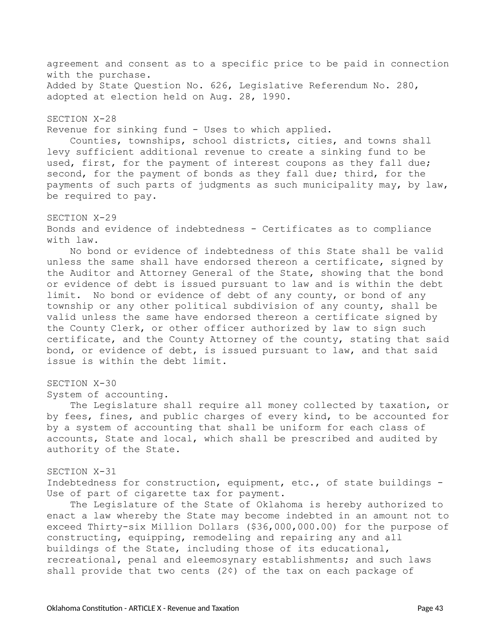agreement and consent as to a specific price to be paid in connection with the purchase. Added by State Question No. 626, Legislative Referendum No. 280, adopted at election held on Aug. 28, 1990. SECTION X-28 Revenue for sinking fund - Uses to which applied. Counties, townships, school districts, cities, and towns shall levy sufficient additional revenue to create a sinking fund to be used, first, for the payment of interest coupons as they fall due; second, for the payment of bonds as they fall due; third, for the payments of such parts of judgments as such municipality may, by law, be required to pay. SECTION X-29 Bonds and evidence of indebtedness - Certificates as to compliance with law. No bond or evidence of indebtedness of this State shall be valid unless the same shall have endorsed thereon a certificate, signed by the Auditor and Attorney General of the State, showing that the bond or evidence of debt is issued pursuant to law and is within the debt limit. No bond or evidence of debt of any county, or bond of any township or any other political subdivision of any county, shall be valid unless the same have endorsed thereon a certificate signed by the County Clerk, or other officer authorized by law to sign such certificate, and the County Attorney of the county, stating that said bond, or evidence of debt, is issued pursuant to law, and that said issue is within the debt limit. SECTION X-30 System of accounting. The Legislature shall require all money collected by taxation, or by fees, fines, and public charges of every kind, to be accounted for by a system of accounting that shall be uniform for each class of accounts, State and local, which shall be prescribed and audited by authority of the State. SECTION X-31 Indebtedness for construction, equipment, etc., of state buildings - Use of part of cigarette tax for payment. The Legislature of the State of Oklahoma is hereby authorized to enact a law whereby the State may become indebted in an amount not to exceed Thirty-six Million Dollars (\$36,000,000.00) for the purpose of constructing, equipping, remodeling and repairing any and all

buildings of the State, including those of its educational, recreational, penal and eleemosynary establishments; and such laws shall provide that two cents (2¢) of the tax on each package of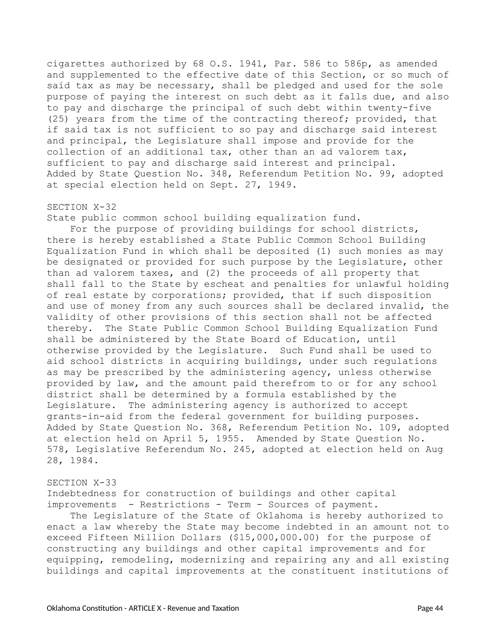cigarettes authorized by 68 O.S. 1941, Par. 586 to 586p, as amended and supplemented to the effective date of this Section, or so much of said tax as may be necessary, shall be pledged and used for the sole purpose of paying the interest on such debt as it falls due, and also to pay and discharge the principal of such debt within twenty-five (25) years from the time of the contracting thereof; provided, that if said tax is not sufficient to so pay and discharge said interest and principal, the Legislature shall impose and provide for the collection of an additional tax, other than an ad valorem tax, sufficient to pay and discharge said interest and principal. Added by State Question No. 348, Referendum Petition No. 99, adopted at special election held on Sept. 27, 1949.

### SECTION X-32

State public common school building equalization fund.

For the purpose of providing buildings for school districts, there is hereby established a State Public Common School Building Equalization Fund in which shall be deposited (1) such monies as may be designated or provided for such purpose by the Legislature, other than ad valorem taxes, and (2) the proceeds of all property that shall fall to the State by escheat and penalties for unlawful holding of real estate by corporations; provided, that if such disposition and use of money from any such sources shall be declared invalid, the validity of other provisions of this section shall not be affected thereby. The State Public Common School Building Equalization Fund shall be administered by the State Board of Education, until otherwise provided by the Legislature. Such Fund shall be used to aid school districts in acquiring buildings, under such regulations as may be prescribed by the administering agency, unless otherwise provided by law, and the amount paid therefrom to or for any school district shall be determined by a formula established by the Legislature. The administering agency is authorized to accept grants-in-aid from the federal government for building purposes. Added by State Question No. 368, Referendum Petition No. 109, adopted at election held on April 5, 1955. Amended by State Question No. 578, Legislative Referendum No. 245, adopted at election held on Aug 28, 1984.

# SECTION X-33

Indebtedness for construction of buildings and other capital improvements - Restrictions - Term - Sources of payment.

The Legislature of the State of Oklahoma is hereby authorized to enact a law whereby the State may become indebted in an amount not to exceed Fifteen Million Dollars (\$15,000,000.00) for the purpose of constructing any buildings and other capital improvements and for equipping, remodeling, modernizing and repairing any and all existing buildings and capital improvements at the constituent institutions of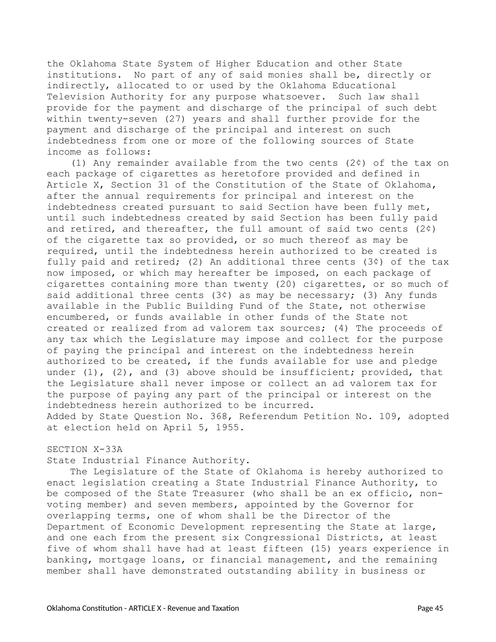the Oklahoma State System of Higher Education and other State institutions. No part of any of said monies shall be, directly or indirectly, allocated to or used by the Oklahoma Educational Television Authority for any purpose whatsoever. Such law shall provide for the payment and discharge of the principal of such debt within twenty-seven (27) years and shall further provide for the payment and discharge of the principal and interest on such indebtedness from one or more of the following sources of State income as follows:

(1) Any remainder available from the two cents  $(2¢)$  of the tax on each package of cigarettes as heretofore provided and defined in Article X, Section 31 of the Constitution of the State of Oklahoma, after the annual requirements for principal and interest on the indebtedness created pursuant to said Section have been fully met, until such indebtedness created by said Section has been fully paid and retired, and thereafter, the full amount of said two cents  $(2¢)$ of the cigarette tax so provided, or so much thereof as may be required, until the indebtedness herein authorized to be created is fully paid and retired; (2) An additional three cents (3¢) of the tax now imposed, or which may hereafter be imposed, on each package of cigarettes containing more than twenty (20) cigarettes, or so much of said additional three cents  $(3¢)$  as may be necessary; (3) Any funds available in the Public Building Fund of the State, not otherwise encumbered, or funds available in other funds of the State not created or realized from ad valorem tax sources; (4) The proceeds of any tax which the Legislature may impose and collect for the purpose of paying the principal and interest on the indebtedness herein authorized to be created, if the funds available for use and pledge under  $(1)$ ,  $(2)$ , and  $(3)$  above should be insufficient; provided, that the Legislature shall never impose or collect an ad valorem tax for the purpose of paying any part of the principal or interest on the indebtedness herein authorized to be incurred. Added by State Question No. 368, Referendum Petition No. 109, adopted at election held on April 5, 1955.

#### SECTION X-33A

State Industrial Finance Authority.

The Legislature of the State of Oklahoma is hereby authorized to enact legislation creating a State Industrial Finance Authority, to be composed of the State Treasurer (who shall be an ex officio, nonvoting member) and seven members, appointed by the Governor for overlapping terms, one of whom shall be the Director of the Department of Economic Development representing the State at large, and one each from the present six Congressional Districts, at least five of whom shall have had at least fifteen (15) years experience in banking, mortgage loans, or financial management, and the remaining member shall have demonstrated outstanding ability in business or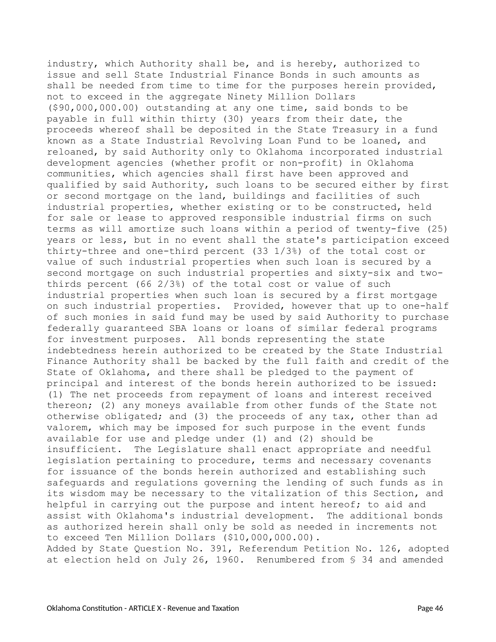industry, which Authority shall be, and is hereby, authorized to issue and sell State Industrial Finance Bonds in such amounts as shall be needed from time to time for the purposes herein provided, not to exceed in the aggregate Ninety Million Dollars (\$90,000,000.00) outstanding at any one time, said bonds to be payable in full within thirty (30) years from their date, the proceeds whereof shall be deposited in the State Treasury in a fund known as a State Industrial Revolving Loan Fund to be loaned, and reloaned, by said Authority only to Oklahoma incorporated industrial development agencies (whether profit or non-profit) in Oklahoma communities, which agencies shall first have been approved and qualified by said Authority, such loans to be secured either by first or second mortgage on the land, buildings and facilities of such industrial properties, whether existing or to be constructed, held for sale or lease to approved responsible industrial firms on such terms as will amortize such loans within a period of twenty-five (25) years or less, but in no event shall the state's participation exceed thirty-three and one-third percent (33 1/3%) of the total cost or value of such industrial properties when such loan is secured by a second mortgage on such industrial properties and sixty-six and twothirds percent (66 2/3%) of the total cost or value of such industrial properties when such loan is secured by a first mortgage on such industrial properties. Provided, however that up to one-half of such monies in said fund may be used by said Authority to purchase federally guaranteed SBA loans or loans of similar federal programs for investment purposes. All bonds representing the state indebtedness herein authorized to be created by the State Industrial Finance Authority shall be backed by the full faith and credit of the State of Oklahoma, and there shall be pledged to the payment of principal and interest of the bonds herein authorized to be issued: (1) The net proceeds from repayment of loans and interest received thereon; (2) any moneys available from other funds of the State not otherwise obligated; and (3) the proceeds of any tax, other than ad valorem, which may be imposed for such purpose in the event funds available for use and pledge under (1) and (2) should be insufficient. The Legislature shall enact appropriate and needful legislation pertaining to procedure, terms and necessary covenants for issuance of the bonds herein authorized and establishing such safeguards and regulations governing the lending of such funds as in its wisdom may be necessary to the vitalization of this Section, and helpful in carrying out the purpose and intent hereof; to aid and assist with Oklahoma's industrial development. The additional bonds as authorized herein shall only be sold as needed in increments not to exceed Ten Million Dollars (\$10,000,000.00). Added by State Question No. 391, Referendum Petition No. 126, adopted

at election held on July 26, 1960. Renumbered from § 34 and amended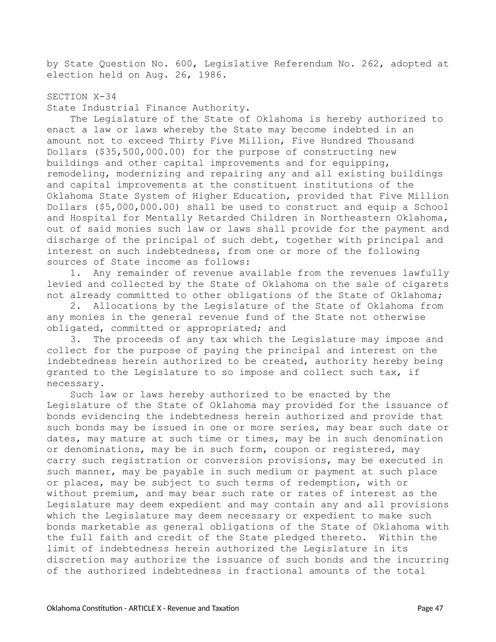by State Question No. 600, Legislative Referendum No. 262, adopted at election held on Aug. 26, 1986.

# SECTION X-34 State Industrial Finance Authority.

The Legislature of the State of Oklahoma is hereby authorized to enact a law or laws whereby the State may become indebted in an amount not to exceed Thirty Five Million, Five Hundred Thousand Dollars (\$35,500,000.00) for the purpose of constructing new buildings and other capital improvements and for equipping, remodeling, modernizing and repairing any and all existing buildings and capital improvements at the constituent institutions of the Oklahoma State System of Higher Education, provided that Five Million Dollars (\$5,000,000.00) shall be used to construct and equip a School and Hospital for Mentally Retarded Children in Northeastern Oklahoma, out of said monies such law or laws shall provide for the payment and discharge of the principal of such debt, together with principal and interest on such indebtedness, from one or more of the following sources of State income as follows:

1. Any remainder of revenue available from the revenues lawfully levied and collected by the State of Oklahoma on the sale of cigarets not already committed to other obligations of the State of Oklahoma;

2. Allocations by the Legislature of the State of Oklahoma from any monies in the general revenue fund of the State not otherwise obligated, committed or appropriated; and

3. The proceeds of any tax which the Legislature may impose and collect for the purpose of paying the principal and interest on the indebtedness herein authorized to be created, authority hereby being granted to the Legislature to so impose and collect such tax, if necessary.

Such law or laws hereby authorized to be enacted by the Legislature of the State of Oklahoma may provided for the issuance of bonds evidencing the indebtedness herein authorized and provide that such bonds may be issued in one or more series, may bear such date or dates, may mature at such time or times, may be in such denomination or denominations, may be in such form, coupon or registered, may carry such registration or conversion provisions, may be executed in such manner, may be payable in such medium or payment at such place or places, may be subject to such terms of redemption, with or without premium, and may bear such rate or rates of interest as the Legislature may deem expedient and may contain any and all provisions which the Legislature may deem necessary or expedient to make such bonds marketable as general obligations of the State of Oklahoma with the full faith and credit of the State pledged thereto. Within the limit of indebtedness herein authorized the Legislature in its discretion may authorize the issuance of such bonds and the incurring of the authorized indebtedness in fractional amounts of the total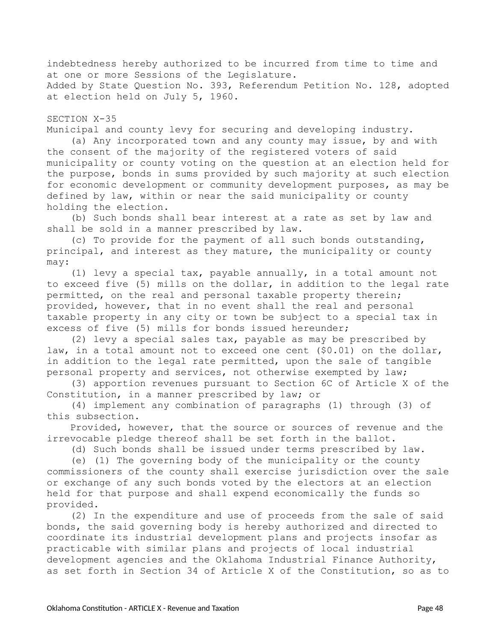indebtedness hereby authorized to be incurred from time to time and at one or more Sessions of the Legislature. Added by State Question No. 393, Referendum Petition No. 128, adopted at election held on July 5, 1960.

# SECTION X-35

Municipal and county levy for securing and developing industry.

(a) Any incorporated town and any county may issue, by and with the consent of the majority of the registered voters of said municipality or county voting on the question at an election held for the purpose, bonds in sums provided by such majority at such election for economic development or community development purposes, as may be defined by law, within or near the said municipality or county holding the election.

(b) Such bonds shall bear interest at a rate as set by law and shall be sold in a manner prescribed by law.

(c) To provide for the payment of all such bonds outstanding, principal, and interest as they mature, the municipality or county may:

(1) levy a special tax, payable annually, in a total amount not to exceed five (5) mills on the dollar, in addition to the legal rate permitted, on the real and personal taxable property therein; provided, however, that in no event shall the real and personal taxable property in any city or town be subject to a special tax in excess of five (5) mills for bonds issued hereunder;

(2) levy a special sales tax, payable as may be prescribed by law, in a total amount not to exceed one cent  $(90.01)$  on the dollar, in addition to the legal rate permitted, upon the sale of tangible personal property and services, not otherwise exempted by law;

(3) apportion revenues pursuant to Section 6C of Article X of the Constitution, in a manner prescribed by law; or

(4) implement any combination of paragraphs (1) through (3) of this subsection.

Provided, however, that the source or sources of revenue and the irrevocable pledge thereof shall be set forth in the ballot.

(d) Such bonds shall be issued under terms prescribed by law.

(e) (1) The governing body of the municipality or the county commissioners of the county shall exercise jurisdiction over the sale or exchange of any such bonds voted by the electors at an election held for that purpose and shall expend economically the funds so provided.

(2) In the expenditure and use of proceeds from the sale of said bonds, the said governing body is hereby authorized and directed to coordinate its industrial development plans and projects insofar as practicable with similar plans and projects of local industrial development agencies and the Oklahoma Industrial Finance Authority, as set forth in Section 34 of Article X of the Constitution, so as to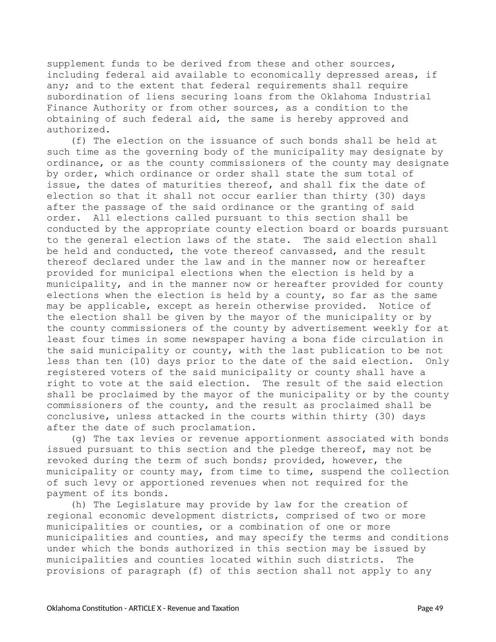supplement funds to be derived from these and other sources, including federal aid available to economically depressed areas, if any; and to the extent that federal requirements shall require subordination of liens securing loans from the Oklahoma Industrial Finance Authority or from other sources, as a condition to the obtaining of such federal aid, the same is hereby approved and authorized.

(f) The election on the issuance of such bonds shall be held at such time as the governing body of the municipality may designate by ordinance, or as the county commissioners of the county may designate by order, which ordinance or order shall state the sum total of issue, the dates of maturities thereof, and shall fix the date of election so that it shall not occur earlier than thirty (30) days after the passage of the said ordinance or the granting of said order. All elections called pursuant to this section shall be conducted by the appropriate county election board or boards pursuant to the general election laws of the state. The said election shall be held and conducted, the vote thereof canvassed, and the result thereof declared under the law and in the manner now or hereafter provided for municipal elections when the election is held by a municipality, and in the manner now or hereafter provided for county elections when the election is held by a county, so far as the same may be applicable, except as herein otherwise provided. Notice of the election shall be given by the mayor of the municipality or by the county commissioners of the county by advertisement weekly for at least four times in some newspaper having a bona fide circulation in the said municipality or county, with the last publication to be not less than ten (10) days prior to the date of the said election. Only registered voters of the said municipality or county shall have a right to vote at the said election. The result of the said election shall be proclaimed by the mayor of the municipality or by the county commissioners of the county, and the result as proclaimed shall be conclusive, unless attacked in the courts within thirty (30) days after the date of such proclamation.

(g) The tax levies or revenue apportionment associated with bonds issued pursuant to this section and the pledge thereof, may not be revoked during the term of such bonds; provided, however, the municipality or county may, from time to time, suspend the collection of such levy or apportioned revenues when not required for the payment of its bonds.

(h) The Legislature may provide by law for the creation of regional economic development districts, comprised of two or more municipalities or counties, or a combination of one or more municipalities and counties, and may specify the terms and conditions under which the bonds authorized in this section may be issued by municipalities and counties located within such districts. The provisions of paragraph (f) of this section shall not apply to any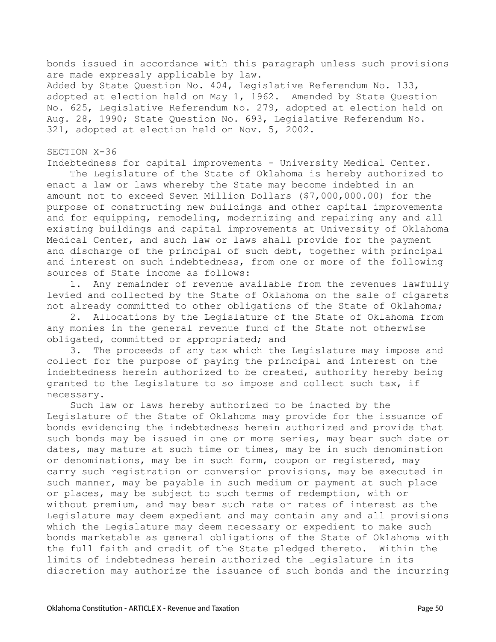bonds issued in accordance with this paragraph unless such provisions are made expressly applicable by law. Added by State Question No. 404, Legislative Referendum No. 133,

adopted at election held on May 1, 1962. Amended by State Question No. 625, Legislative Referendum No. 279, adopted at election held on Aug. 28, 1990; State Question No. 693, Legislative Referendum No. 321, adopted at election held on Nov. 5, 2002.

### SECTION X-36

Indebtedness for capital improvements - University Medical Center.

The Legislature of the State of Oklahoma is hereby authorized to enact a law or laws whereby the State may become indebted in an amount not to exceed Seven Million Dollars (\$7,000,000.00) for the purpose of constructing new buildings and other capital improvements and for equipping, remodeling, modernizing and repairing any and all existing buildings and capital improvements at University of Oklahoma Medical Center, and such law or laws shall provide for the payment and discharge of the principal of such debt, together with principal and interest on such indebtedness, from one or more of the following sources of State income as follows:

1. Any remainder of revenue available from the revenues lawfully levied and collected by the State of Oklahoma on the sale of cigarets not already committed to other obligations of the State of Oklahoma;

2. Allocations by the Legislature of the State of Oklahoma from any monies in the general revenue fund of the State not otherwise obligated, committed or appropriated; and

3. The proceeds of any tax which the Legislature may impose and collect for the purpose of paying the principal and interest on the indebtedness herein authorized to be created, authority hereby being granted to the Legislature to so impose and collect such tax, if necessary.

Such law or laws hereby authorized to be inacted by the Legislature of the State of Oklahoma may provide for the issuance of bonds evidencing the indebtedness herein authorized and provide that such bonds may be issued in one or more series, may bear such date or dates, may mature at such time or times, may be in such denomination or denominations, may be in such form, coupon or registered, may carry such registration or conversion provisions, may be executed in such manner, may be payable in such medium or payment at such place or places, may be subject to such terms of redemption, with or without premium, and may bear such rate or rates of interest as the Legislature may deem expedient and may contain any and all provisions which the Legislature may deem necessary or expedient to make such bonds marketable as general obligations of the State of Oklahoma with the full faith and credit of the State pledged thereto. Within the limits of indebtedness herein authorized the Legislature in its discretion may authorize the issuance of such bonds and the incurring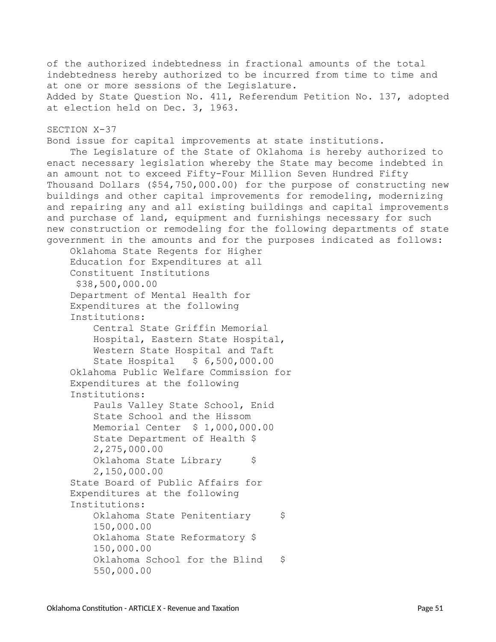of the authorized indebtedness in fractional amounts of the total indebtedness hereby authorized to be incurred from time to time and at one or more sessions of the Legislature. Added by State Question No. 411, Referendum Petition No. 137, adopted at election held on Dec. 3, 1963. SECTION X-37 Bond issue for capital improvements at state institutions. The Legislature of the State of Oklahoma is hereby authorized to enact necessary legislation whereby the State may become indebted in an amount not to exceed Fifty-Four Million Seven Hundred Fifty Thousand Dollars (\$54,750,000.00) for the purpose of constructing new buildings and other capital improvements for remodeling, modernizing and repairing any and all existing buildings and capital improvements and purchase of land, equipment and furnishings necessary for such new construction or remodeling for the following departments of state government in the amounts and for the purposes indicated as follows: Oklahoma State Regents for Higher Education for Expenditures at all Constituent Institutions \$38,500,000.00 Department of Mental Health for Expenditures at the following Institutions: Central State Griffin Memorial Hospital, Eastern State Hospital, Western State Hospital and Taft State Hospital \$ 6,500,000.00 Oklahoma Public Welfare Commission for Expenditures at the following Institutions: Pauls Valley State School, Enid State School and the Hissom Memorial Center \$ 1,000,000.00 State Department of Health \$ 2,275,000.00 Oklahoma State Library \$ 2,150,000.00 State Board of Public Affairs for Expenditures at the following Institutions: Oklahoma State Penitentiary \$ 150,000.00 Oklahoma State Reformatory \$ 150,000.00 Oklahoma School for the Blind \$ 550,000.00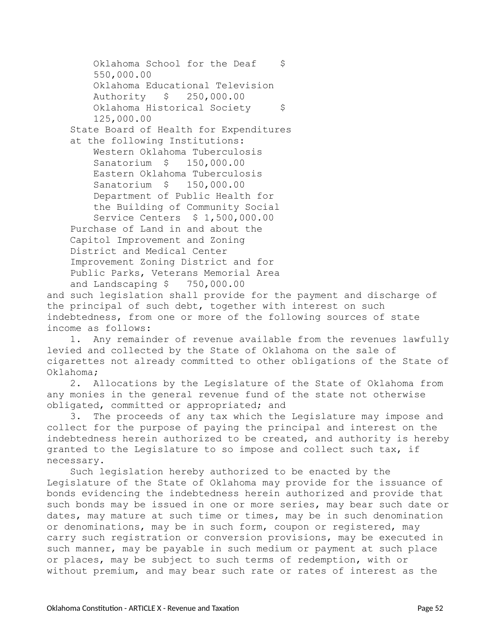Oklahoma School for the Deaf \$ 550,000.00 Oklahoma Educational Television Authority \$ 250,000.00 Oklahoma Historical Society \$ 125,000.00 State Board of Health for Expenditures at the following Institutions: Western Oklahoma Tuberculosis Sanatorium \$ 150,000.00 Eastern Oklahoma Tuberculosis Sanatorium \$ 150,000.00 Department of Public Health for the Building of Community Social Service Centers \$ 1,500,000.00 Purchase of Land in and about the Capitol Improvement and Zoning District and Medical Center Improvement Zoning District and for Public Parks, Veterans Memorial Area and Landscaping \$ 750,000.00

and such legislation shall provide for the payment and discharge of the principal of such debt, together with interest on such indebtedness, from one or more of the following sources of state income as follows:

1. Any remainder of revenue available from the revenues lawfully levied and collected by the State of Oklahoma on the sale of cigarettes not already committed to other obligations of the State of Oklahoma;

2. Allocations by the Legislature of the State of Oklahoma from any monies in the general revenue fund of the state not otherwise obligated, committed or appropriated; and

3. The proceeds of any tax which the Legislature may impose and collect for the purpose of paying the principal and interest on the indebtedness herein authorized to be created, and authority is hereby granted to the Legislature to so impose and collect such tax, if necessary.

Such legislation hereby authorized to be enacted by the Legislature of the State of Oklahoma may provide for the issuance of bonds evidencing the indebtedness herein authorized and provide that such bonds may be issued in one or more series, may bear such date or dates, may mature at such time or times, may be in such denomination or denominations, may be in such form, coupon or registered, may carry such registration or conversion provisions, may be executed in such manner, may be payable in such medium or payment at such place or places, may be subject to such terms of redemption, with or without premium, and may bear such rate or rates of interest as the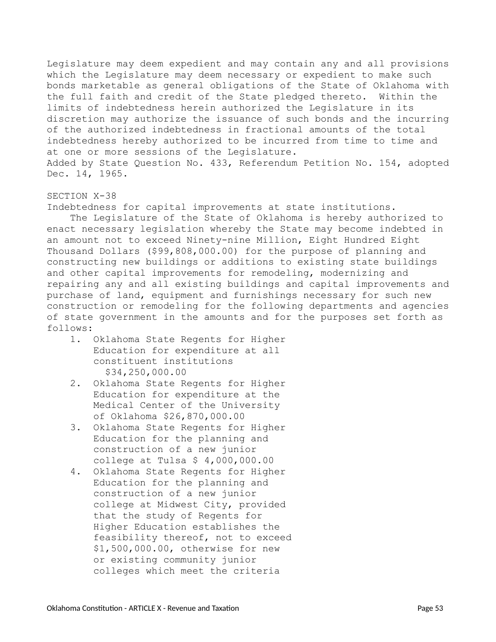Legislature may deem expedient and may contain any and all provisions which the Legislature may deem necessary or expedient to make such bonds marketable as general obligations of the State of Oklahoma with the full faith and credit of the State pledged thereto. Within the limits of indebtedness herein authorized the Legislature in its discretion may authorize the issuance of such bonds and the incurring of the authorized indebtedness in fractional amounts of the total indebtedness hereby authorized to be incurred from time to time and at one or more sessions of the Legislature. Added by State Question No. 433, Referendum Petition No. 154, adopted Dec. 14, 1965.

### SECTION X-38

Indebtedness for capital improvements at state institutions.

The Legislature of the State of Oklahoma is hereby authorized to enact necessary legislation whereby the State may become indebted in an amount not to exceed Ninety-nine Million, Eight Hundred Eight Thousand Dollars (\$99,808,000.00) for the purpose of planning and constructing new buildings or additions to existing state buildings and other capital improvements for remodeling, modernizing and repairing any and all existing buildings and capital improvements and purchase of land, equipment and furnishings necessary for such new construction or remodeling for the following departments and agencies of state government in the amounts and for the purposes set forth as follows:

- 1. Oklahoma State Regents for Higher Education for expenditure at all constituent institutions \$34,250,000.00
- 2. Oklahoma State Regents for Higher Education for expenditure at the Medical Center of the University of Oklahoma \$26,870,000.00
- 3. Oklahoma State Regents for Higher Education for the planning and construction of a new junior college at Tulsa \$ 4,000,000.00
- 4. Oklahoma State Regents for Higher Education for the planning and construction of a new junior college at Midwest City, provided that the study of Regents for Higher Education establishes the feasibility thereof, not to exceed \$1,500,000.00, otherwise for new or existing community junior colleges which meet the criteria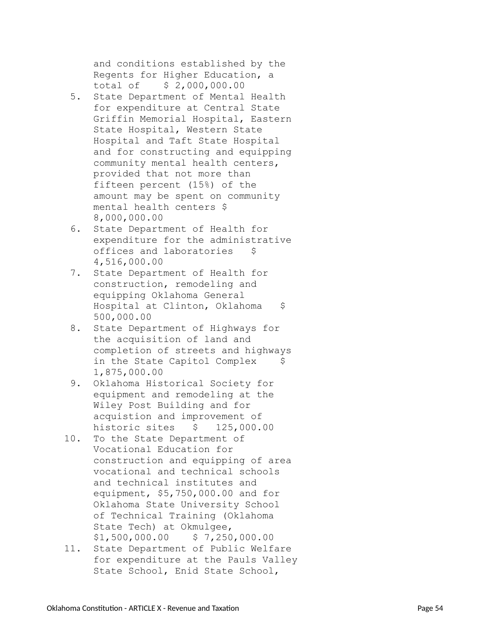and conditions established by the Regents for Higher Education, a total of \$ 2,000,000.00

- 5. State Department of Mental Health for expenditure at Central State Griffin Memorial Hospital, Eastern State Hospital, Western State Hospital and Taft State Hospital and for constructing and equipping community mental health centers, provided that not more than fifteen percent (15%) of the amount may be spent on community mental health centers \$ 8,000,000.00
- 6. State Department of Health for expenditure for the administrative offices and laboratories \$ 4,516,000.00
- 7. State Department of Health for construction, remodeling and equipping Oklahoma General Hospital at Clinton, Oklahoma \$ 500,000.00
- 8. State Department of Highways for the acquisition of land and completion of streets and highways in the State Capitol Complex \$ 1,875,000.00
- 9. Oklahoma Historical Society for equipment and remodeling at the Wiley Post Building and for acquistion and improvement of historic sites  $$ 125,000.00$
- 10. To the State Department of Vocational Education for construction and equipping of area vocational and technical schools and technical institutes and equipment, \$5,750,000.00 and for Oklahoma State University School of Technical Training (Oklahoma State Tech) at Okmulgee, \$1,500,000.00 \$ 7,250,000.00
- 11. State Department of Public Welfare for expenditure at the Pauls Valley State School, Enid State School,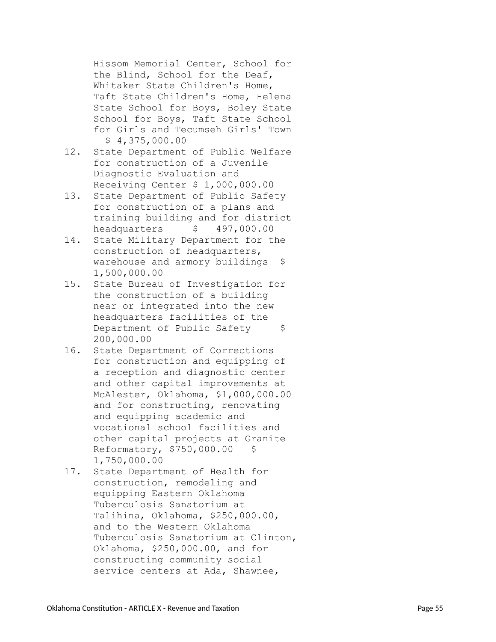Hissom Memorial Center, School for the Blind, School for the Deaf, Whitaker State Children's Home, Taft State Children's Home, Helena State School for Boys, Boley State School for Boys, Taft State School for Girls and Tecumseh Girls' Town \$ 4,375,000.00

- 12. State Department of Public Welfare for construction of a Juvenile Diagnostic Evaluation and Receiving Center \$ 1,000,000.00
- 13. State Department of Public Safety for construction of a plans and training building and for district headquarters \$ 497,000.00
- 14. State Military Department for the construction of headquarters, warehouse and armory buildings \$ 1,500,000.00
- 15. State Bureau of Investigation for the construction of a building near or integrated into the new headquarters facilities of the Department of Public Safety \$ 200,000.00
- 16. State Department of Corrections for construction and equipping of a reception and diagnostic center and other capital improvements at McAlester, Oklahoma, \$1,000,000.00 and for constructing, renovating and equipping academic and vocational school facilities and other capital projects at Granite Reformatory, \$750,000.00 \$ 1,750,000.00
- 17. State Department of Health for construction, remodeling and equipping Eastern Oklahoma Tuberculosis Sanatorium at Talihina, Oklahoma, \$250,000.00, and to the Western Oklahoma Tuberculosis Sanatorium at Clinton, Oklahoma, \$250,000.00, and for constructing community social service centers at Ada, Shawnee,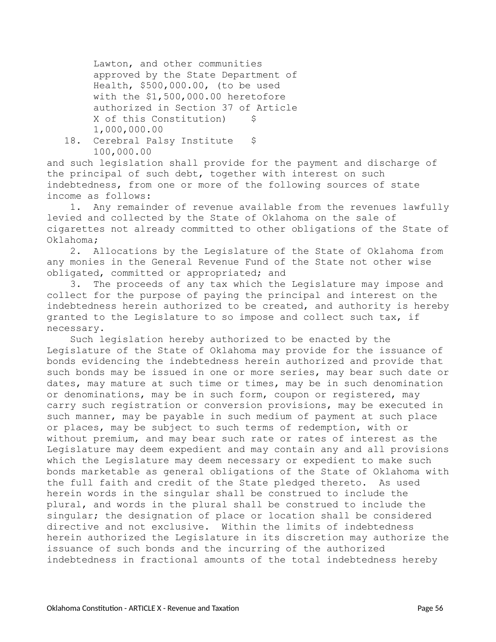Lawton, and other communities approved by the State Department of Health, \$500,000.00, (to be used with the \$1,500,000.00 heretofore authorized in Section 37 of Article X of this Constitution) \$ 1,000,000.00

18. Cerebral Palsy Institute \$ 100,000.00

and such legislation shall provide for the payment and discharge of the principal of such debt, together with interest on such indebtedness, from one or more of the following sources of state income as follows:

1. Any remainder of revenue available from the revenues lawfully levied and collected by the State of Oklahoma on the sale of cigarettes not already committed to other obligations of the State of Oklahoma;

2. Allocations by the Legislature of the State of Oklahoma from any monies in the General Revenue Fund of the State not other wise obligated, committed or appropriated; and

3. The proceeds of any tax which the Legislature may impose and collect for the purpose of paying the principal and interest on the indebtedness herein authorized to be created, and authority is hereby granted to the Legislature to so impose and collect such tax, if necessary.

Such legislation hereby authorized to be enacted by the Legislature of the State of Oklahoma may provide for the issuance of bonds evidencing the indebtedness herein authorized and provide that such bonds may be issued in one or more series, may bear such date or dates, may mature at such time or times, may be in such denomination or denominations, may be in such form, coupon or registered, may carry such registration or conversion provisions, may be executed in such manner, may be payable in such medium of payment at such place or places, may be subject to such terms of redemption, with or without premium, and may bear such rate or rates of interest as the Legislature may deem expedient and may contain any and all provisions which the Legislature may deem necessary or expedient to make such bonds marketable as general obligations of the State of Oklahoma with the full faith and credit of the State pledged thereto. As used herein words in the singular shall be construed to include the plural, and words in the plural shall be construed to include the singular; the designation of place or location shall be considered directive and not exclusive. Within the limits of indebtedness herein authorized the Legislature in its discretion may authorize the issuance of such bonds and the incurring of the authorized indebtedness in fractional amounts of the total indebtedness hereby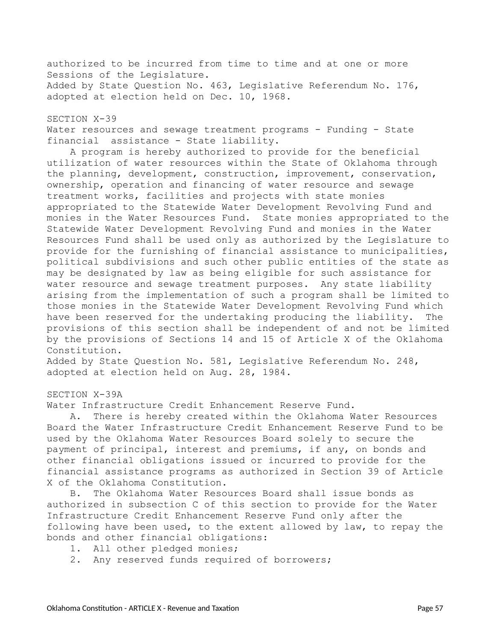authorized to be incurred from time to time and at one or more Sessions of the Legislature. Added by State Question No. 463, Legislative Referendum No. 176, adopted at election held on Dec. 10, 1968.

# SECTION X-39

Water resources and sewage treatment programs - Funding - State financial assistance - State liability.

A program is hereby authorized to provide for the beneficial utilization of water resources within the State of Oklahoma through the planning, development, construction, improvement, conservation, ownership, operation and financing of water resource and sewage treatment works, facilities and projects with state monies appropriated to the Statewide Water Development Revolving Fund and monies in the Water Resources Fund. State monies appropriated to the Statewide Water Development Revolving Fund and monies in the Water Resources Fund shall be used only as authorized by the Legislature to provide for the furnishing of financial assistance to municipalities, political subdivisions and such other public entities of the state as may be designated by law as being eligible for such assistance for water resource and sewage treatment purposes. Any state liability arising from the implementation of such a program shall be limited to those monies in the Statewide Water Development Revolving Fund which have been reserved for the undertaking producing the liability. The provisions of this section shall be independent of and not be limited by the provisions of Sections 14 and 15 of Article X of the Oklahoma Constitution.

Added by State Question No. 581, Legislative Referendum No. 248, adopted at election held on Aug. 28, 1984.

### SECTION X-39A

Water Infrastructure Credit Enhancement Reserve Fund.

A. There is hereby created within the Oklahoma Water Resources Board the Water Infrastructure Credit Enhancement Reserve Fund to be used by the Oklahoma Water Resources Board solely to secure the payment of principal, interest and premiums, if any, on bonds and other financial obligations issued or incurred to provide for the financial assistance programs as authorized in Section 39 of Article X of the Oklahoma Constitution.

B. The Oklahoma Water Resources Board shall issue bonds as authorized in subsection C of this section to provide for the Water Infrastructure Credit Enhancement Reserve Fund only after the following have been used, to the extent allowed by law, to repay the bonds and other financial obligations:

- 1. All other pledged monies;
- 2. Any reserved funds required of borrowers;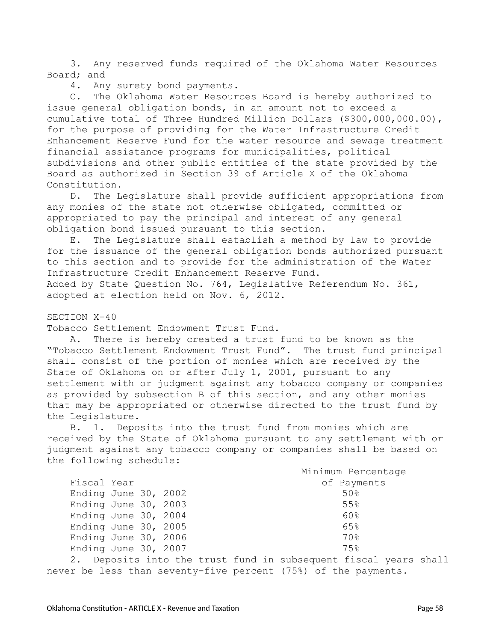3. Any reserved funds required of the Oklahoma Water Resources Board; and

4. Any surety bond payments.

C. The Oklahoma Water Resources Board is hereby authorized to issue general obligation bonds, in an amount not to exceed a cumulative total of Three Hundred Million Dollars (\$300,000,000.00), for the purpose of providing for the Water Infrastructure Credit Enhancement Reserve Fund for the water resource and sewage treatment financial assistance programs for municipalities, political subdivisions and other public entities of the state provided by the Board as authorized in Section 39 of Article X of the Oklahoma Constitution.

D. The Legislature shall provide sufficient appropriations from any monies of the state not otherwise obligated, committed or appropriated to pay the principal and interest of any general obligation bond issued pursuant to this section.

E. The Legislature shall establish a method by law to provide for the issuance of the general obligation bonds authorized pursuant to this section and to provide for the administration of the Water Infrastructure Credit Enhancement Reserve Fund. Added by State Question No. 764, Legislative Referendum No. 361, adopted at election held on Nov. 6, 2012.

SECTION X-40

Tobacco Settlement Endowment Trust Fund.

A. There is hereby created a trust fund to be known as the "Tobacco Settlement Endowment Trust Fund". The trust fund principal shall consist of the portion of monies which are received by the State of Oklahoma on or after July 1, 2001, pursuant to any settlement with or judgment against any tobacco company or companies as provided by subsection B of this section, and any other monies that may be appropriated or otherwise directed to the trust fund by the Legislature.

B. 1. Deposits into the trust fund from monies which are received by the State of Oklahoma pursuant to any settlement with or judgment against any tobacco company or companies shall be based on the following schedule:

|                      | Minimum Percentage                                               |             |
|----------------------|------------------------------------------------------------------|-------------|
| Fiscal Year          |                                                                  | of Payments |
| Ending June 30, 2002 |                                                                  | 50%         |
| Ending June 30, 2003 |                                                                  | 55%         |
| Ending June 30, 2004 |                                                                  | 60%         |
| Ending June 30, 2005 |                                                                  | 65%         |
| Ending June 30, 2006 |                                                                  | 70%         |
| Ending June 30, 2007 |                                                                  | 75%         |
|                      | 2. Deposits into the trust fund in subsequent fiscal years shall |             |

never be less than seventy-five percent (75%) of the payments.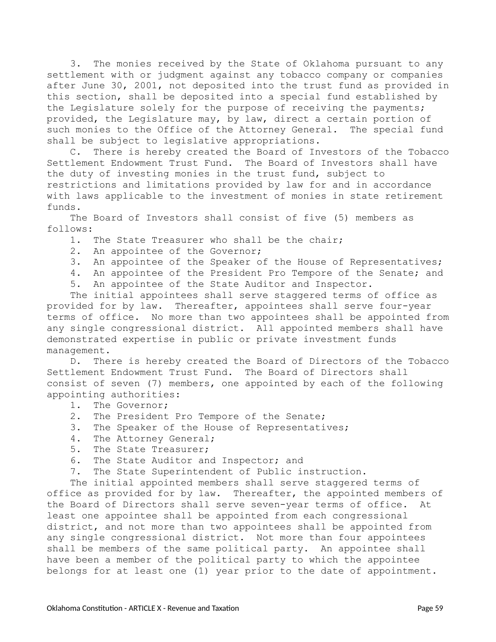3. The monies received by the State of Oklahoma pursuant to any settlement with or judgment against any tobacco company or companies after June 30, 2001, not deposited into the trust fund as provided in this section, shall be deposited into a special fund established by the Legislature solely for the purpose of receiving the payments; provided, the Legislature may, by law, direct a certain portion of such monies to the Office of the Attorney General. The special fund shall be subject to legislative appropriations.

C. There is hereby created the Board of Investors of the Tobacco Settlement Endowment Trust Fund. The Board of Investors shall have the duty of investing monies in the trust fund, subject to restrictions and limitations provided by law for and in accordance with laws applicable to the investment of monies in state retirement funds.

The Board of Investors shall consist of five (5) members as follows:

1. The State Treasurer who shall be the chair;

- 2. An appointee of the Governor;
- 3. An appointee of the Speaker of the House of Representatives;
- 4. An appointee of the President Pro Tempore of the Senate; and
- 5. An appointee of the State Auditor and Inspector.

The initial appointees shall serve staggered terms of office as provided for by law. Thereafter, appointees shall serve four-year terms of office. No more than two appointees shall be appointed from any single congressional district. All appointed members shall have demonstrated expertise in public or private investment funds management.

D. There is hereby created the Board of Directors of the Tobacco Settlement Endowment Trust Fund. The Board of Directors shall consist of seven (7) members, one appointed by each of the following appointing authorities:

- 1. The Governor;
- 2. The President Pro Tempore of the Senate;
- 3. The Speaker of the House of Representatives;
- 4. The Attorney General;
- 5. The State Treasurer;
- 6. The State Auditor and Inspector; and

7. The State Superintendent of Public instruction.

The initial appointed members shall serve staggered terms of office as provided for by law. Thereafter, the appointed members of the Board of Directors shall serve seven-year terms of office. At least one appointee shall be appointed from each congressional district, and not more than two appointees shall be appointed from any single congressional district. Not more than four appointees shall be members of the same political party. An appointee shall have been a member of the political party to which the appointee belongs for at least one (1) year prior to the date of appointment.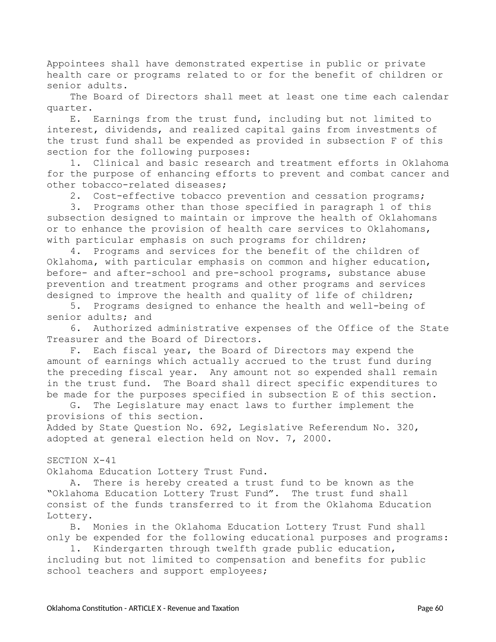Appointees shall have demonstrated expertise in public or private health care or programs related to or for the benefit of children or senior adults.

The Board of Directors shall meet at least one time each calendar quarter.

E. Earnings from the trust fund, including but not limited to interest, dividends, and realized capital gains from investments of the trust fund shall be expended as provided in subsection F of this section for the following purposes:

1. Clinical and basic research and treatment efforts in Oklahoma for the purpose of enhancing efforts to prevent and combat cancer and other tobacco-related diseases;

2. Cost-effective tobacco prevention and cessation programs;

3. Programs other than those specified in paragraph 1 of this subsection designed to maintain or improve the health of Oklahomans or to enhance the provision of health care services to Oklahomans, with particular emphasis on such programs for children;

4. Programs and services for the benefit of the children of Oklahoma, with particular emphasis on common and higher education, before- and after-school and pre-school programs, substance abuse prevention and treatment programs and other programs and services designed to improve the health and quality of life of children;

5. Programs designed to enhance the health and well-being of senior adults; and

6. Authorized administrative expenses of the Office of the State Treasurer and the Board of Directors.

F. Each fiscal year, the Board of Directors may expend the amount of earnings which actually accrued to the trust fund during the preceding fiscal year. Any amount not so expended shall remain in the trust fund. The Board shall direct specific expenditures to be made for the purposes specified in subsection E of this section.

G. The Legislature may enact laws to further implement the provisions of this section.

Added by State Question No. 692, Legislative Referendum No. 320, adopted at general election held on Nov. 7, 2000.

SECTION X-41

Oklahoma Education Lottery Trust Fund.

A. There is hereby created a trust fund to be known as the "Oklahoma Education Lottery Trust Fund". The trust fund shall consist of the funds transferred to it from the Oklahoma Education Lottery.

B. Monies in the Oklahoma Education Lottery Trust Fund shall only be expended for the following educational purposes and programs:

1. Kindergarten through twelfth grade public education, including but not limited to compensation and benefits for public school teachers and support employees;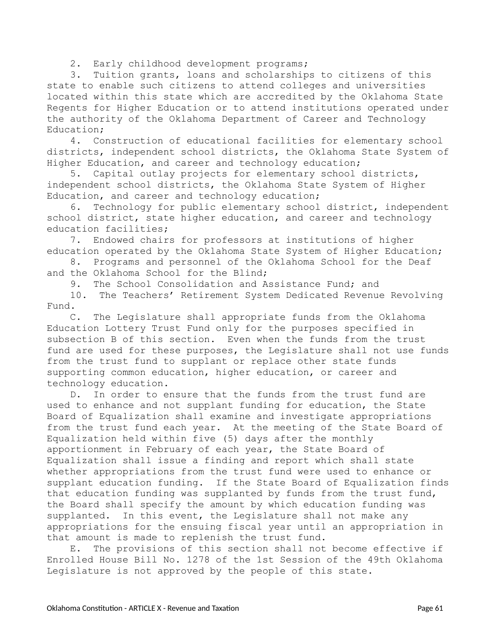2. Early childhood development programs;

3. Tuition grants, loans and scholarships to citizens of this state to enable such citizens to attend colleges and universities located within this state which are accredited by the Oklahoma State Regents for Higher Education or to attend institutions operated under the authority of the Oklahoma Department of Career and Technology Education;

4. Construction of educational facilities for elementary school districts, independent school districts, the Oklahoma State System of Higher Education, and career and technology education;

5. Capital outlay projects for elementary school districts, independent school districts, the Oklahoma State System of Higher Education, and career and technology education;

6. Technology for public elementary school district, independent school district, state higher education, and career and technology education facilities;

7. Endowed chairs for professors at institutions of higher education operated by the Oklahoma State System of Higher Education;

8. Programs and personnel of the Oklahoma School for the Deaf and the Oklahoma School for the Blind;

9. The School Consolidation and Assistance Fund; and

10. The Teachers' Retirement System Dedicated Revenue Revolving Fund.

C. The Legislature shall appropriate funds from the Oklahoma Education Lottery Trust Fund only for the purposes specified in subsection B of this section. Even when the funds from the trust fund are used for these purposes, the Legislature shall not use funds from the trust fund to supplant or replace other state funds supporting common education, higher education, or career and technology education.

D. In order to ensure that the funds from the trust fund are used to enhance and not supplant funding for education, the State Board of Equalization shall examine and investigate appropriations from the trust fund each year. At the meeting of the State Board of Equalization held within five (5) days after the monthly apportionment in February of each year, the State Board of Equalization shall issue a finding and report which shall state whether appropriations from the trust fund were used to enhance or supplant education funding. If the State Board of Equalization finds that education funding was supplanted by funds from the trust fund, the Board shall specify the amount by which education funding was supplanted. In this event, the Legislature shall not make any appropriations for the ensuing fiscal year until an appropriation in that amount is made to replenish the trust fund.

E. The provisions of this section shall not become effective if Enrolled House Bill No. 1278 of the 1st Session of the 49th Oklahoma Legislature is not approved by the people of this state.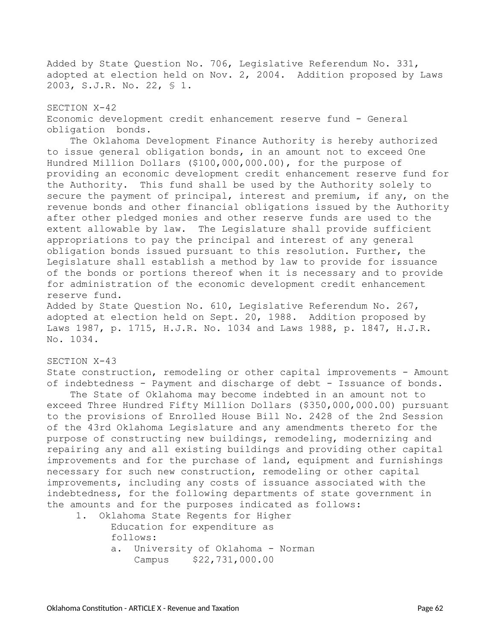Added by State Question No. 706, Legislative Referendum No. 331, adopted at election held on Nov. 2, 2004. Addition proposed by Laws 2003, S.J.R. No. 22, § 1.

SECTION X-42 Economic development credit enhancement reserve fund - General obligation bonds.

The Oklahoma Development Finance Authority is hereby authorized to issue general obligation bonds, in an amount not to exceed One Hundred Million Dollars (\$100,000,000.00), for the purpose of providing an economic development credit enhancement reserve fund for the Authority. This fund shall be used by the Authority solely to secure the payment of principal, interest and premium, if any, on the revenue bonds and other financial obligations issued by the Authority after other pledged monies and other reserve funds are used to the extent allowable by law. The Legislature shall provide sufficient appropriations to pay the principal and interest of any general obligation bonds issued pursuant to this resolution. Further, the Legislature shall establish a method by law to provide for issuance of the bonds or portions thereof when it is necessary and to provide for administration of the economic development credit enhancement reserve fund.

Added by State Question No. 610, Legislative Referendum No. 267, adopted at election held on Sept. 20, 1988. Addition proposed by Laws 1987, p. 1715, H.J.R. No. 1034 and Laws 1988, p. 1847, H.J.R. No. 1034.

#### SECTION X-43

State construction, remodeling or other capital improvements - Amount of indebtedness - Payment and discharge of debt - Issuance of bonds.

The State of Oklahoma may become indebted in an amount not to exceed Three Hundred Fifty Million Dollars (\$350,000,000.00) pursuant to the provisions of Enrolled House Bill No. 2428 of the 2nd Session of the 43rd Oklahoma Legislature and any amendments thereto for the purpose of constructing new buildings, remodeling, modernizing and repairing any and all existing buildings and providing other capital improvements and for the purchase of land, equipment and furnishings necessary for such new construction, remodeling or other capital improvements, including any costs of issuance associated with the indebtedness, for the following departments of state government in the amounts and for the purposes indicated as follows:

1. Oklahoma State Regents for Higher Education for expenditure as follows: a. University of Oklahoma - Norman Campus \$22,731,000.00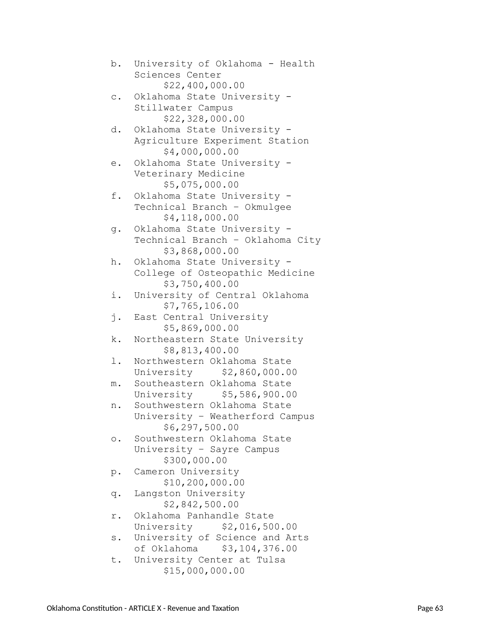```
b. University of Oklahoma - Health 
    Sciences Center
         $22,400,000.00
c. Oklahoma State University - 
    Stillwater Campus
         $22,328,000.00
d. Oklahoma State University - 
    Agriculture Experiment Station
         $4,000,000.00
e. Oklahoma State University - 
    Veterinary Medicine
         $5,075,000.00
f. Oklahoma State University - 
    Technical Branch – Okmulgee
         $4,118,000.00
g. Oklahoma State University - 
    Technical Branch – Oklahoma City
         $3,868,000.00
h. Oklahoma State University - 
   College of Osteopathic Medicine
         $3,750,400.00
i. University of Central Oklahoma
         $7,765,106.00
j. East Central University
         $5,869,000.00
k. Northeastern State University
         $8,813,400.00
l. Northwestern Oklahoma State 
   University $2,860,000.00
m. Southeastern Oklahoma State 
   University $5,586,900.00
n. Southwestern Oklahoma State 
    University – Weatherford Campus
         $6,297,500.00
o. Southwestern Oklahoma State 
    University – Sayre Campus
         $300,000.00
p. Cameron University
         $10,200,000.00
q. Langston University
         $2,842,500.00
r. Oklahoma Panhandle State 
   University $2,016,500.00
s. University of Science and Arts 
    of Oklahoma $3,104,376.00
t. University Center at Tulsa
         $15,000,000.00
```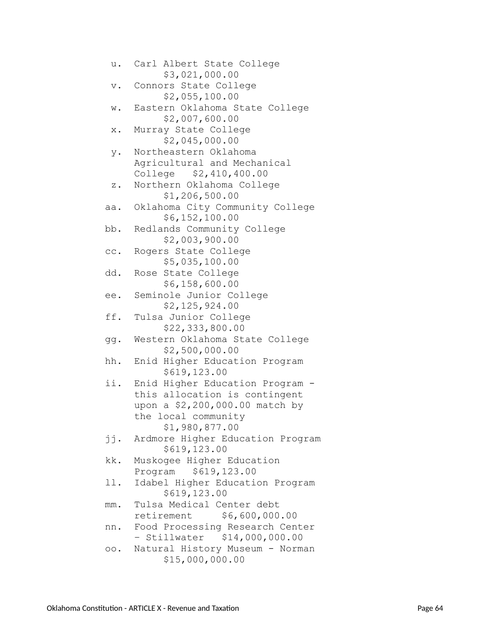```
u. Carl Albert State College
          $3,021,000.00
 v. Connors State College
          $2,055,100.00
 w. Eastern Oklahoma State College
          $2,007,600.00
 x. Murray State College
          $2,045,000.00
 y. Northeastern Oklahoma 
     Agricultural and Mechanical 
     College $2,410,400.00
 z. Northern Oklahoma College
          $1,206,500.00
aa. Oklahoma City Community College
          $6,152,100.00
bb. Redlands Community College
          $2,003,900.00
cc. Rogers State College
          $5,035,100.00
dd. Rose State College
          $6,158,600.00
ee. Seminole Junior College
          $2,125,924.00
ff. Tulsa Junior College
          $22,333,800.00
gg. Western Oklahoma State College
          $2,500,000.00
hh. Enid Higher Education Program
          $619,123.00
ii. Enid Higher Education Program - 
     this allocation is contingent 
     upon a $2,200,000.00 match by 
     the local community
          $1,980,877.00
jj. Ardmore Higher Education Program
          $619,123.00
kk. Muskogee Higher Education 
     Program $619,123.00
ll. Idabel Higher Education Program
          $619,123.00
mm. Tulsa Medical Center debt 
     retirement $6,600,000.00
nn. Food Processing Research Center 
     – Stillwater $14,000,000.00
oo. Natural History Museum - Norman
          $15,000,000.00
```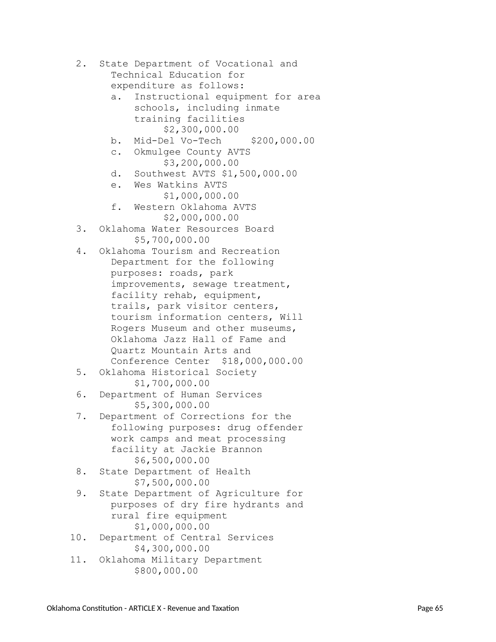2. State Department of Vocational and Technical Education for expenditure as follows: a. Instructional equipment for area schools, including inmate training facilities \$2,300,000.00 b. Mid-Del Vo-Tech \$200,000.00 c. Okmulgee County AVTS \$3,200,000.00 d. Southwest AVTS \$1,500,000.00 e. Wes Watkins AVTS \$1,000,000.00 f. Western Oklahoma AVTS \$2,000,000.00 3. Oklahoma Water Resources Board \$5,700,000.00 4. Oklahoma Tourism and Recreation Department for the following purposes: roads, park improvements, sewage treatment, facility rehab, equipment, trails, park visitor centers, tourism information centers, Will Rogers Museum and other museums, Oklahoma Jazz Hall of Fame and Quartz Mountain Arts and Conference Center \$18,000,000.00 5. Oklahoma Historical Society \$1,700,000.00 6. Department of Human Services \$5,300,000.00 7. Department of Corrections for the following purposes: drug offender work camps and meat processing facility at Jackie Brannon \$6,500,000.00 8. State Department of Health \$7,500,000.00 9. State Department of Agriculture for purposes of dry fire hydrants and rural fire equipment \$1,000,000.00 10. Department of Central Services \$4,300,000.00 11. Oklahoma Military Department \$800,000.00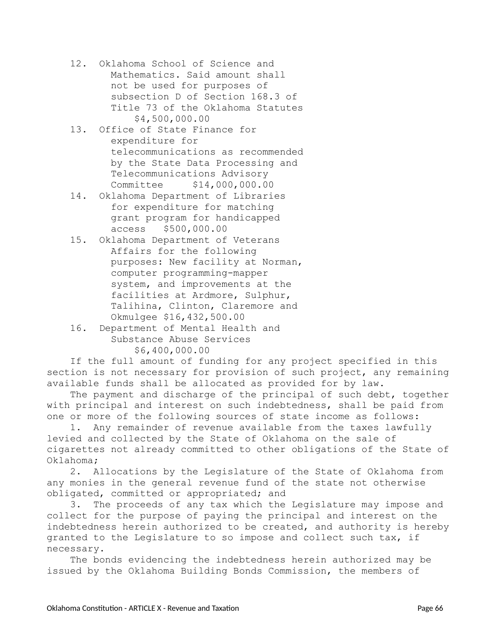- 12. Oklahoma School of Science and Mathematics. Said amount shall not be used for purposes of subsection D of Section 168.3 of Title 73 of the Oklahoma Statutes \$4,500,000.00
- 13. Office of State Finance for expenditure for telecommunications as recommended by the State Data Processing and Telecommunications Advisory Committee \$14,000,000.00
- 14. Oklahoma Department of Libraries for expenditure for matching grant program for handicapped access \$500,000.00
- 15. Oklahoma Department of Veterans Affairs for the following purposes: New facility at Norman, computer programming-mapper system, and improvements at the facilities at Ardmore, Sulphur, Talihina, Clinton, Claremore and Okmulgee \$16,432,500.00
- 16. Department of Mental Health and Substance Abuse Services \$6,400,000.00

If the full amount of funding for any project specified in this section is not necessary for provision of such project, any remaining available funds shall be allocated as provided for by law.

The payment and discharge of the principal of such debt, together with principal and interest on such indebtedness, shall be paid from one or more of the following sources of state income as follows:

1. Any remainder of revenue available from the taxes lawfully levied and collected by the State of Oklahoma on the sale of cigarettes not already committed to other obligations of the State of Oklahoma;

2. Allocations by the Legislature of the State of Oklahoma from any monies in the general revenue fund of the state not otherwise obligated, committed or appropriated; and

3. The proceeds of any tax which the Legislature may impose and collect for the purpose of paying the principal and interest on the indebtedness herein authorized to be created, and authority is hereby granted to the Legislature to so impose and collect such tax, if necessary.

The bonds evidencing the indebtedness herein authorized may be issued by the Oklahoma Building Bonds Commission, the members of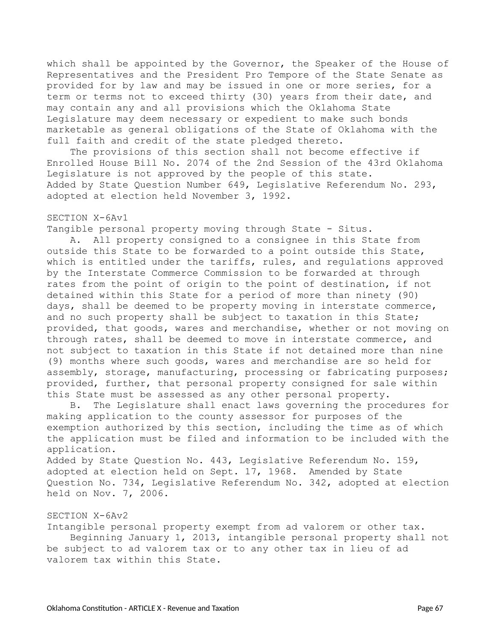which shall be appointed by the Governor, the Speaker of the House of Representatives and the President Pro Tempore of the State Senate as provided for by law and may be issued in one or more series, for a term or terms not to exceed thirty (30) years from their date, and may contain any and all provisions which the Oklahoma State Legislature may deem necessary or expedient to make such bonds marketable as general obligations of the State of Oklahoma with the full faith and credit of the state pledged thereto.

The provisions of this section shall not become effective if Enrolled House Bill No. 2074 of the 2nd Session of the 43rd Oklahoma Legislature is not approved by the people of this state. Added by State Question Number 649, Legislative Referendum No. 293, adopted at election held November 3, 1992.

#### SECTION X-6Av1

Tangible personal property moving through State - Situs.

A. All property consigned to a consignee in this State from outside this State to be forwarded to a point outside this State, which is entitled under the tariffs, rules, and regulations approved by the Interstate Commerce Commission to be forwarded at through rates from the point of origin to the point of destination, if not detained within this State for a period of more than ninety (90) days, shall be deemed to be property moving in interstate commerce, and no such property shall be subject to taxation in this State; provided, that goods, wares and merchandise, whether or not moving on through rates, shall be deemed to move in interstate commerce, and not subject to taxation in this State if not detained more than nine (9) months where such goods, wares and merchandise are so held for assembly, storage, manufacturing, processing or fabricating purposes; provided, further, that personal property consigned for sale within this State must be assessed as any other personal property.

B. The Legislature shall enact laws governing the procedures for making application to the county assessor for purposes of the exemption authorized by this section, including the time as of which the application must be filed and information to be included with the application.

Added by State Question No. 443, Legislative Referendum No. 159, adopted at election held on Sept. 17, 1968. Amended by State Question No. 734, Legislative Referendum No. 342, adopted at election held on Nov. 7, 2006.

### SECTION X-6Av2

Intangible personal property exempt from ad valorem or other tax. Beginning January 1, 2013, intangible personal property shall not be subject to ad valorem tax or to any other tax in lieu of ad valorem tax within this State.